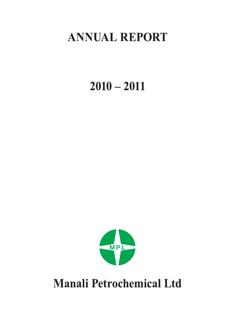# **ANNUAL REPORT**

# $2010 - 2011$



**Manali Petrochemical Ltd**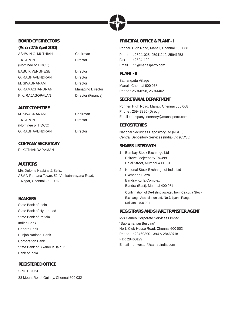#### **BOARD OF DIRECTORS**

**(As on 27th April 2011)** ASHWIN C. MUTHIAH Chairman T.K. ARUN (Nominee of TIDCO) BABU K VERGHESE Director G. RAGHAVENDRAN Director M. SIVAGNANAM Director G. RAMACHANDRAN Managing Director K.K. RAJAGOPALAN Director (Finance)

#### **AUDIT COMMITTEE**

M. SIVAGNANAM Chairman T.K. ARUN (Nominee of TIDCO) G. RAGHAVENDRAN Director

## **COMPANY SECRETARY**

R. KOTHANDARAMAN

#### **AUDITORS**

M/s Deloitte Haskins & Sells, ASV N Ramana Tower, 52, Venkatnarayana Road, T.Nagar, Chennai - 600 017.

#### **BANKERS**

State Bank of India State Bank of Hyderabad State Bank of Patiala Indian Bank Canara Bank Punjab National Bank Corporation Bank State Bank of Bikaner & Jaipur Bank of India

#### **REGISTERED OFFICE**

SPIC HOUSE 88 Mount Road, Guindy, Chennai 600 032

## Director

Director

#### **PRINCIPAL OFFICE & PLANT - I**

Ponneri High Road, Manali, Chennai 600 068

Phone : 25941025, 25941249, 25941253 Fax : 25941199 Email : it@manalipetro.com

#### **PLANT - II**

Sathangadu Village Manali, Chennai 600 068 Phone : 25941698, 25941402

#### **SECRETARIAL DEPARTMENT**

Ponneri High Road, Manali, Chennai 600 068 Phone : 25943895 (Direct) Email : companysecretary@manalipetro.com

#### **DEPOSITORIES**

National Securities Depository Ltd (NSDL) Central Depository Services (India) Ltd (CDSL)

#### **SHARES LISTED WITH**

- 1 Bombay Stock Exchange Ltd Phiroze Jeejeebhoy Towers Dalal Street, Mumbai 400 001
- 2 National Stock Exchange of India Ltd Exchange Plaza Bandra-Kurla Complex Bandra (East), Mumbai 400 051

Confirmation of De-listing awaited from Calcutta Stock Exchange Association Ltd, No.7, Lyons Range, Kolkata - 700 001

#### **REGISTRARS AND SHARE TRANSFER AGENT**

M/s Cameo Corporate Services Limited "Subramanian Building" No.1, Club House Road, Chennai 600 002 Phone : 28460390 - 394 & 28460718 Fax: 28460129 E mail : investor@cameoindia.com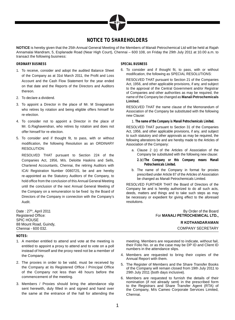

#### **NOTICE TO SHAREHOLDERS**

**NOTICE** is hereby given that the 25th Annual General Meeting of the Members of Manali Petrochemical Ltd will be held at Rajah Annamalai Mandram, 5, Esplanade Road (Near High Court), Chennai – 600 108, on Friday the 29th July 2011 at 10.00 a.m. to transact the following business:

#### **ORDINARY BUSINESS**

- 1. To receive, consider and adopt the audited Balance Sheet of the Company as at 31st March 2011, the Profit and Loss Account and the Cash Flow Statement for the year ended on that date and the Reports of the Directors and Auditors thereon.
- 2. To declare a dividend.
- 3. To appoint a Director in the place of Mr. M Sivagnanam who retires by rotation and being eligible offers himself for re-election.
- 4. To consider not to appoint a Director in the place of Mr. G.Raghavendran, who retires by rotation and does not offer himself for re-election.
- 5. To consider and if thought fit, to pass, with or without modification, the following Resolution as an ORDINARY RESOLUTION:

 RESOLVED THAT pursuant to Section 224 of the Companies Act, 1956, M/s. Deloitte Haskins and Sells, Chartered Accountants, Chennai, the retiring Auditors with ICAI Registration Number 008072S, be and are hereby re-appointed as the Statutory Auditors of the Company, to hold office from the conclusion of this Annual General Meeting until the conclusion of the next Annual General Meeting of the Company on a remuneration to be fixed by the Board of Directors of the Company in connection with the Company's Audit.

Date: 27<sup>th</sup>, April 2011 Registered Office: SPIC HOUSE 88 Mount Road, Guindy, Chennai - 600 032.

#### **NOTES:**

- 1. A member entitled to attend and vote at the meeting is entitled to appoint a proxy to attend and to vote on a poll instead of himself and the proxy need not be a member of the Company.
- 2. The proxies in order to be valid, must be received by the Company at its Registered Office / Principal Office of the Company not less than 48 hours before the commencement of the meeting.
- 3. Members / Proxies should bring the attendance slip sent herewith, duly filled in and signed and hand over the same at the entrance of the hall for attending the

#### **SPECIAL BUSINESS**

6. To consider and if thought fit, to pass, with or without modification, the following as SPECIAL RESOLUTIONS:

 RESOLVED THAT pursuant to Section 21 of the Companies Act, 1956, and other applicable provisions, if any, and subject to the approval of the Central Government and/or Registrar of Companies and other authorities as may be required, the name of the Company be changed as **Manali Petrochemicals Limited.**

 RESOLVED THAT the name clause of the Memorandum of Association of the Company be substituted with the following new Clause:

1. **The name of the Company is Manali Petrochemicals Limited.**

RESOLVED THAT pursuant to Section 31 of the Companies Act, 1956, and other applicable provisions, if any, and subject to such statutory and other approvals as may be required, the following alterations be and are hereby made to the Articles of Association of the Company:

- a. Clause 2 (c) of the Articles of Association of the Company be substituted with the following new clause:
	- **2. (c) The Company or this Company means Manali Petrochemicals Limited.**
- b. The name of the Company in format for proxies prescribed under Article 87 of the Articles of Association be changed as Manali Petrochemicals Limited.

 RESOLVED FURTHER THAT the Board of Directors of the Company be and is hereby authorized to do all such acts, deeds, matters and things and to take such steps as may be necessary or expedient for giving effect to the aforesaid resolutions.

| By Order of the Board<br>For <b>MANALI PETROCHEMICAL LTD</b> |  |
|--------------------------------------------------------------|--|
| <b>R KOTHANDARAMAN</b>                                       |  |
| <b>COMPANY SECRETARY</b>                                     |  |

meeting. Members are requested to indicate, without fail, their Folio No. or as the case may be DP ID and Client ID

4. Members are requested to bring their copies of the Annual Report with them.

numbers in the attendance slips.

- 5. The Register of Members and the Share Transfer Books of the Company will remain closed from 19th July 2011 to 29th July 2011 (both days inclusive).
- 6. Members are requested to furnish the details of their nomination (if not already sent) in the prescribed form to the Registrars and Share Transfer Agent (RTA) of the Company, M/s Cameo Corporate Services Limited, Chennai.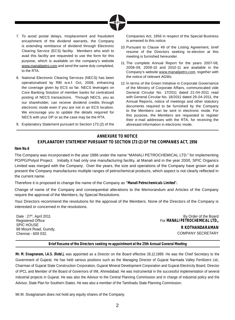

- 7. To avoid postal delays, misplacement and fraudulent encashment of the dividend warrants, the Company is extending remittance of dividend through Electronic Clearing Service (ECS) facility. Members who wish to avail this facility are requested to use the form for this purpose, which is available on the company's website www.manalipetro.com and send the same duly completed, to the RTA.
- 8. National Electronic Clearing Services (NECS) has been operationalised by RBI w.e.f. Oct, 2008, enhancing the coverage given by ECS so far. NECS leverages on Core Banking Solution of member banks for centralized posting of NECS transactions. Through NECS, you as our shareholder, can receive dividend credits through electronic mode even if you are not in an ECS location. We encourage you to update the details required for NECS with your DP or as the case may be the RTA.
- 9. Explanatory Statement pursuant to Section 173 (2) of the

Companies Act, 1956 in respect of the Special Business is annexed to this notice.

- 10. Pursuant to Clause 49 of the Listing Agreement, brief resume of the Directors seeking re-election at this meeting is furnished hereunder.
- 11. The complete Annual Report for the years 2007-08, 2008-09, 2009-10 and 2010-11 are available in the Company's website www.manalipetro.com, together with the notice of relevant AGMs.
- 12. In terms of the Green Initiative in Corporate Governance of the Ministry of Corporate Affairs, communicated vide General Circular No. 17/2011 dated 21-04-2011 read with General Circular No. 18/2011 dated 29-04-2011, the Annual Reports, notice of meetings and other statutory documents required to be furnished by the Company to the Members can be sent in electronic mode. For this purpose, the Members are requested to register their e-mail addresses with the RTA, for receiving the aforesaid information in electronic mode.

#### **ANNEXURE TO NOTICE**

#### **EXPLANATORY STATEMENT PURSUANT TO SECTION 173 (2) OF THE COMPANIES ACT, 1956**

#### **Item No.6**

The Company was incorporated in the year 1986 under the name "MANALI PETROCHEMICAL LTD." for implementing PO/PG/Polyol Project. Initially it had only one manufacturing facility, at Manali and in the year 2000, SPIC Organics Limited was merged with the Company. Over the years, the size and operations of the Company have grown and at present the Company manufactures multiple ranges of petrochemical products, which aspect is not clearly reflected in the current name.

Therefore it is proposed to change the name of the Company as **"Manali Petrochemicals Limited".**

Change of name of the Company and consequential alterations to the Memorandum and Articles of the Company require the approval of the Members, by Special Resolutions.

Your Directors recommend the resolutions for the approval of the Members. None of the Directors of the Company is interested or concerned in the resolutions.

Date: 27<sup>th</sup>, April 2011 Registered Office: SPIC HOUSE 88 Mount Road, Guindy, Chennai - 600 032.

By Order of the Board For **MANALI PETROCHEMICAL LTD., R KOTHANDARAMAN** COMPANY SECRETARY

#### **Brief Resume of the Directors seeking re-appointment at the 25th Annual General Meeting**

**Mr. M. Sivagnanam, I.A.S. (Retd.),** was appointed as a Director on the Board effective 26.12.1989. He was the Chief Secretary to the Government of Gujarat. He has held various positions such as the Managing Director of Gujarat Narmada Valley Fertilizers Ltd., Chairman of Gujarat State Construction Corporation, Gujarat Mineral Development Corporation and Gujarat Electricity Board, Director of IPCL and Member of the Board of Governors of IIM, Ahmedabad. He was instrumental in the successful implementation of several industrial projects in Gujarat. He was also the Advisor to the Central Planning Commission and in charge of industrial policy and the Advisor, State Plan for Southern States. He was also a member of the Tamilnadu State Planning Commission.

Mr.M. Sivagnanam does not hold any equity shares of the Company.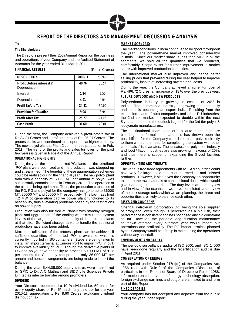

#### **REPORT OF THE DIRECTORS AND MANAGEMENT DISCUSSION & ANALYSIS**

#### To

#### **The Shareholders**

The Directors present their 25th Annual Report on the business and operations of your Company and the Audited Statement of Accounts for the year ended 31st March 2011.

| <b>FINANCIAL RESULTS</b>                 |         | (Rs. in Crores) |
|------------------------------------------|---------|-----------------|
| <b>DESCRIPTION</b>                       | 2010-11 | 2009-10         |
| Profit Before interest &<br>Depreciation | 40.76   | 35.54           |
| Interest                                 | 1.54    | 1.50            |
| Depreciation                             | 4.91    | 4.04            |
| <b>Profit Before Tax</b>                 | 34.31   | 30.00           |
| <b>Provision for Taxation</b>            | 9.04    | 8.94            |
| <b>Profit After Tax</b>                  | 25.27   | 21.06           |
| <b>Cash Profit</b>                       | 31.60   | 29.01           |
|                                          |         |                 |

During the year, the Company achieved a profit before tax of Rs.34.31 Crores and a profit after tax of Rs. 25.27 Crores. The process units were continued to be operated at higher capacity. The new polyol plant at Plant-2 commenced production in Feb. 2011. The trend of the profits and sales turnover for the past few years is given in Page 4 of the Annual Report.

#### **OPERATIONAL HIGHLIGHTS**

During the year, the debottlenecked PG plants and the retrofitted 'PO' plant were optimized and the production was stepped up and streamlined. The benefits of these augmentation schemes could be realized during the financial year. The new polyol plant train with a capacity of 17,000 MT per annum of polyol, was successfully commissioned in February 2011. The operation of the plant is being optimized. Thus, the production capacities of the PO, PG and polyol for the company has gone up to 36000 MT, 20000 MT and 50000 MT respectively. The bio-mass fired 4.2 MW co-generation captive power plant functioned to its best ability, thus alleviating problems posed by the restrictions on power supply.

Production was also fortified at Plant-2 with standby nitrogen plant and upgradation of the cooling water circulation system in view of the large augmented capacity of the process plants at that site. Sufficient storage tanks to handle the additional production have also been added.

Maximum utilization of the process plant can be achieved if sufficient quantities of imported 'PO' is available, which is currently imported in ISO containers. Steps are being taken to install an import terminal at Ennore Port to import 'PO' in bulk to improve availability of 'PO'. Though the derivative plants of PG and polyol have capability to process 60,000 MT of 'PO' per annum, the Company can produce only 36,000 MT per annum and hence arrangements are being made to import the balance.

During the year, 5,44,05,000 equity shares were transferred by SPIC to Dr. A C Muthiah and SIDD Life Sciences Private Limited as inter se transfer among promoters.

#### **DIVIDEND**

Your Directors recommend a 10 % dividend i.e. 50 paise for every equity share of Rs. 5/- each fully paid-up, for the year 2010-11, aggregating to Rs. 8.60 Crores, excluding dividend distribution tax.

#### **MARKET SCENARIO**

The market conditions in India continued to be good throughout the year. The polyurethane market improved considerably in India. Since our market share is less than 50% in all the segments, we sold all the quantities that we produced, comfortably. Scope exists for further improvement in market share with improved production capacities.

The international market also improved and hence better selling prices that prevailed during the year helped to improve profitability, inspite of increasing raw material costs.

During the year, the Company achieved a higher turnover of Rs. 496.72 Crores, an increase of 18 % over the previous year.

#### **FUTURE OUTLOOK AND NEW PRODUCTS**

Polyurethane industry is growing in excess of 20% in India. The automobile industry is growing phenomenally and India is becoming an export hub. Resulting from the expansion plans of auto companies and other PU industries, the 2nd tier market is expected to double within the next 5 years, and hence the outlook is good for the 3rd tier polyol & isocyanate manufacturers.

The multinational foam suppliers to auto companies are blending their formulations, and this has thrown open the possibilities for the Company to sell the base polyols directly to them without the need for completing the system with other chemicals / isocyanates. The unsaturated polyester industry and food / flavor industries are also growing in excess of 20%, and thus there is scope for expanding the Glycol facilities further.

#### **OPPORTUNITIES AND THREATS**

The various free trade agreements with ASEAN countries could pave way for large scale import of intermediate and finished products. However, it also gives the Company an opportunity to import the raw materials at concessional duties which would give it an edge in the market. The duty levels are already low and in view of the expansion we have completed and in view of the bulk storage tanks which we are planning, the threat and opportunities are likely to balance each other.

#### **RISKS AND CONCERNS**

Chennai Petroleum Corporation Ltd. being the sole supplier of propylene, even though is perceived as a big risk, their performance is consistent and has not posed any big constraint so far. However, the periodic long duration maintenance shutdown effected every alternate year would impact our operations and profitability. The PO import terminal planned by the Company would be of help in maintaining the operations without any shortfall.

#### **ENVIRONMENT AND SAFETY**

The periodic surveillance audits of ISO 9001 and ISO 14000 have been done regularly and the recertification audit is due in April 2011.

#### **CONSERVATION OF ENERGY**

As required under Section 217(1)(e) of the Companies Act, 1956 read with Rule-2 of the Companies (Disclosure of particulars in the Report of Board of Directors) Rules, 1988, information on conservation of energy, technology absorption, foreign exchange earnings and outgo, are annexed to and form part of this Report.

#### **FIXED DEPOSITS**

Your company has not accepted any deposits from the public during the year under report.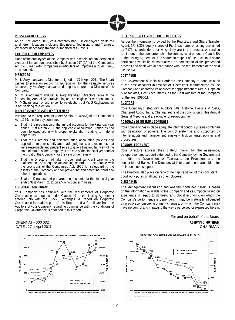

#### **INDUSTRIAL RELATIONS**

As on 31st March 2011, your company had 358 employees on its roll at different locations including Engineers, Technicians and Trainees. Wherever necessary, training is imparted at all levels.

#### **PARTICULARS OF EMPLOYEES**

None of the employees of the Company was in receipt of remuneration in excess of the amount prescribed by Section 217 (2A) of the Companies Act, 1956 read with Companies (Particulars of Employees) Rules, 1975. as amended.

#### **DIRECTORS**

Mr. N Suryanarayanan, Director resigned on 27th April 2011. The Board wishes to place on record its appreciation for the valuable services rendered by Mr. Suryanarayanan during his tenure as a Director of the Company.

Mr. M Sivagnanam and Mr. G Raghavendran, Directors retire at the forthcoming Annual General Meeting and are eligible for re-appointment. Mr. M Sivagnanam offers himself for re-election, but Mr. G Raghavendran is not seeking re-election.

#### **DIRECTORS' RESPONSIBILITY STATEMENT**

Pursuant to the requirement under Section 217(2AA) of the Companies Act, 1956, it is hereby confirmed:

- a) That in the preparation of the annual accounts for the Financial year ended 31st March 2011, the applicable Accounting Standards had been followed along with proper explanation relating to material departures;
- b) That the Directors had selected such accounting policies and applied them consistently and made judgments and estimates that were reasonable and prudent so as to give a true and fair view of the state of affairs of the Company at the end of the financial year and of the profit of the Company for the year under review.
- c) That the Directors had taken proper and sufficient care for the maintenance of adequate accounting records in accordance with the provisions of the Companies Act, 1956 for safeguarding the assets of the Company and for preventing and detecting fraud and other irregularities;
- d) That the Directors had prepared the accounts for the financial year ended 31st March, 2011 on a "going concern" basis.

#### **CORPORATE GOVERNANCE**

Your Company has complied with the requirements of Corporate Governance as required under Clause 49 of the Listing Agreement entered into with the Stock Exchanges. A Report on Corporate Governance is made a part of this Report and a Certificate from the Auditors of your Company regarding compliance with the conditions of Corporate Governance is attached to this report.



#### **DETAILS OF UNCLAIMED SHARE CERTIFICATES**

As per the information provided by the Registrars and Share Transfer Agent, 17,43,308 equity shares of Rs. 5 each are remaining unclaimed by 7,176 shareholders, for which they are in the process of sending reminders to the concerned shareholders as required under Clause 5A of the Listing Agreement. The shares in respect of the unclaimed share certificates would be dematerialized on completion of the prescribed process and dealt with in accordance with the requirements of the said Clause 5A.

#### **COST AUDIT**

The Government of India has ordered the Company to conduct audit of the cost accounts in respect of 'Chemicals' manufactured by the Company and accorded its approval for appointment of M/s. S Gopalan & Associates, Cost Accountants, as the Cost Auditors of the Company for the year 2010-11.

#### **AUDITORS**

Your Company's statutory Auditors M/s. Deloitte Haskins & Sells, Chartered Accountants, Chennai, retire at the conclusion of this Annual General Meeting and are eligible for re-appointment.

#### **ADEQUACY OF INTERNAL CONTROLS**

Your company has in place adequate internal control systems combined with delegation of powers. The control system is also supported by internal audits and management reviews with documented policies and procedures.

#### **ACKNOWLEDGEMENT**

Your Directors express their grateful thanks for the assistance, co-operation and support extended to the Company by the Government of India, the Government of Tamilnadu, the Promoters and the consortium of Banks. The Directors wish to thank the shareholders for their continued support.

The Directors also place on record their appreciation of the consistent good work put in by all cadres of employees.

#### **DISCLAIMER**

The Management Discussion and Analysis contained herein is based on the information available to the Company and assumption based on experience in regard to domestic and global economy, on which the Company's performence is dependent. It may be materially influenced by macro economic/environment changes, on which the Company may have no control and impacting the views perceived or expressed herein.

For and on behalf of the Board CHENNAI – 600 032 **ASHWIN C MUTHIAH** DATE : 27th April 2011 CHAIRMAN

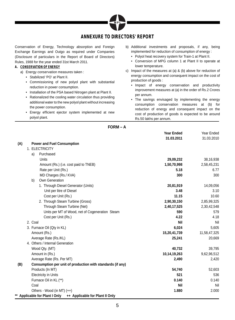

#### **ANNEXURE TO DIRECTORS' REPORT**

Conservation of Energy, Technology absorption and Foreign Exchange Earnings and Outgo as required under Companies (Disclosure of particulars in the Report of Board of Directors) Rules, 1988 for the year ended 31st March 2011.

#### **A. CONSERVATION OF ENERGY**

- a) Energy conservation measures taken :
	- Stabilized 'PO' at Plant II.
	- Commissioning of new polyol plant with substantial reduction in power consumption.
	- Installation of the PSA based Nitrogen plant at Plant II.
	- Rationalized the cooling water circulation thus providing additional water to the new polyol plant without increasing the power consumption.
	- Energy efficient ejector system implemented at new polyol plant.
- b) Additional investments and proposals, if any, being implemented for reduction of consumption of energy :
	- Polyol heat recovery system for Train-1 at Plant II.
	- Conversion of MPG column 1 at Plant II to operate at lower temperature.
- c) Impact of the measures at (a) & (b) above for reduction of energy consumption and consequent impact on the cost of production of goods :
	- Impact of energy conservation and productivity improvement measures at (a) in the order of Rs.2 Crores per annum.
	- The savings envisaged by implementing the energy consumption conservation measures at (b) for reduction of energy and consequent impact on the cost of production of goods is expected to be around Rs.50 lakhs per annum.

**FORM – A**

|     |                                                                   | <b>Year Ended</b> | Year Ended   |
|-----|-------------------------------------------------------------------|-------------------|--------------|
|     |                                                                   | 31.03.2011        | 31.03.2010   |
| (A) | <b>Power and Fuel Consumption</b>                                 |                   |              |
|     | 1. ELECTRICITY                                                    |                   |              |
|     | Purchased<br>a)                                                   |                   |              |
|     | <b>Units</b>                                                      | 29,09,232         | 38,16,938    |
|     | Amount (Rs.) (i.e. cost paid to TNEB)                             | 1,50,70,998       | 2,58,45,231  |
|     | Rate per Unit (Rs.)                                               | 5.18              | 6.77         |
|     | MD Charges (Rs./ KVA)                                             | 300               | 300          |
|     | Own Generation<br>b)                                              |                   |              |
|     | 1. Through Diesel Generator (Units)                               | 20,81,919         | 14,09,056    |
|     | Unit per litre of Diesel                                          | 3.48              | 3.10         |
|     | Cost per Unit (Rs.)                                               | 11.15             | 10.60        |
|     | 2. Through Steam Turbine (Gross)                                  | 2,90,30,150       | 2,85,99,325  |
|     | Through Steam Turbine (Net)                                       | 2,40,17,525       | 2,30,42,548  |
|     | Units per MT of Wood, net of Cogeneration Steam                   | 590               | 579          |
|     | Cost per Unit (Rs.)                                               | 4.22              | 4.18         |
|     | 2. Coal                                                           | Nil               | Nil          |
|     | 3. Furnace Oil (Qty in KL)                                        | 6,024             | 5,605        |
|     | Amount (Rs.)                                                      | 15,20,41,739      | 11,58,47,325 |
|     | Average Rate (Rs./KL)                                             | 25,241            | 20,669       |
|     | 4. Others / Internal Generation                                   |                   |              |
|     | Wood Qty. (MT)                                                    | 40,732            | 39,795       |
|     | Amount in (Rs.)                                                   | 10,14,19,263      | 9,62,96,512  |
|     | Average Rate (Rs. Per MT)                                         | 2,490             | 2,420        |
| (B) | Consumption per unit of production with standards (if any)        |                   |              |
|     | Products (In MT)                                                  | 54,740            | 52,603       |
|     | <b>Electricity in Units</b>                                       | 521               | 536          |
|     | Furnace Oil in KL (**)                                            | 0.140             | 0.140        |
|     | Coal                                                              | Nil               | Nil          |
|     | Others - Wood (in MT) (++)                                        | 1.880             | 2.000        |
|     | ** Applicable for Plant I Only<br>++ Applicable for Plant II Only |                   |              |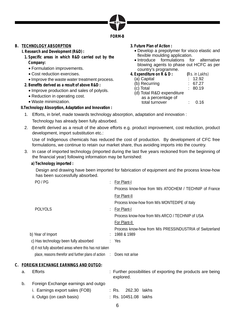

#### **B. TECHNOLOGY ABSORPTION**

 **I. Research and Development (R&D) :**

- **1. Specific areas in which R&D carried out by the Company:**
	- Formulation improvements.
	- Cost reduction exercises.
	- Improve the waste water treatment process.
- **2. Benefits derived as a result of above R&D :**
	- Improve production and sales of polyols.
	- Reduction in operating cost.
	- Waste minimization.

 **II.Technology Absorption, Adaptation and Innovation :**

- **3. Future Plan of Action :**
	- Develop a prepolymer for visco elastic and flexible moulding application.
	- Introduce formulations for alternative blowing agents to phase out HCFC as per country's programme.
- **4. Expenditure on R & D : (**Rs. in Lakhs)  $(a)$  Capital

| (b) Recurring             | 67.27   |
|---------------------------|---------|
| (c) Total                 | : 80.19 |
| (d) Total R&D expenditure |         |
| as a percentage of        |         |
| total turnover            | 0.16    |

- 1. Efforts, in brief, made towards technology absorption, adaptation and innovation : Technology has already been fully absorbed.
- 2. Benefit derived as a result of the above efforts e.g. product improvement, cost reduction, product development, import substitution etc.:

 Use of Indigenous chemicals has reduced the cost of production. By development of CFC free formulations, we continue to retain our market share, thus avoiding imports into the country.

- 3. In case of imported technology (imported during the last five years reckoned from the beginning of the financial year) following information may be furnished:
	- **a) Technology imported :**

 Design and drawing have been imported for fabrication of equipment and the process know-how has been successfully absorbed.

| PO/PG                                                                |   | For Plant-I                                             |
|----------------------------------------------------------------------|---|---------------------------------------------------------|
|                                                                      |   | Process know-how from M/s ATOCHEM / TECHNIP of France   |
|                                                                      |   | For Plant-II                                            |
|                                                                      |   | Process know-how from M/s MONTEDIPE of Italy            |
| <b>POLYOLS</b>                                                       | ٠ | For Plant-I                                             |
|                                                                      |   | Process know-how from M/s ARCO / TECHNIP of USA         |
|                                                                      |   | For Plant-II                                            |
|                                                                      |   | Process know-how from M/s PRESSINDUSTRIA of Switzerland |
| b) Year of Import                                                    |   | : 1988 & 1989                                           |
| c) Has technology been fully absorbed                                |   | : Yes                                                   |
| d) if not fully absorbed areas where this has not taken              |   |                                                         |
| place, reasons therefor and further plans of action : Does not arise |   |                                                         |
| <b>FOREIGN EXCHANGE EARNINGS AND OUTGO:</b>                          |   |                                                         |

| а. | Efforts                               |  | explored.            | : Further possibilities of exporting the products are being |
|----|---------------------------------------|--|----------------------|-------------------------------------------------------------|
| b. | Foreign Exchange earnings and outgo   |  |                      |                                                             |
|    | <i>i.</i> Earnings export sales (FOB) |  | : Rs.  262.30 lakhs  |                                                             |
|    | ii. Outgo (on cash basis)             |  | : Rs. 10451.08 lakhs |                                                             |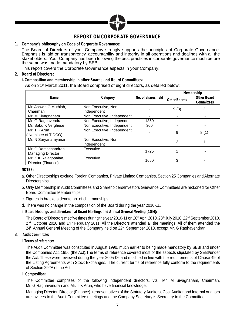

#### **REPORT ON CORPORATE GOVERNANCE**

**1. Company's philosophy on Code of Corporate Governance:**

 The Board of Directors of your Company strongly supports the principles of Corporate Governance. Emphasis is laid on transparency, accountability and integrity in all operations and dealings with all the stakeholders. Your Company has been following the best practices in corporate governance much before the same was made mandatory by SEBI.

This report covers the Corporate Governance aspects in your Company:

**2. Board of Directors:**

 **i. Composition and membership in other Boards and Board Committees:**

As on 31 $\mathrm{st}$  March 2011, the Board comprised of eight directors, as detailed below:

|                          |                            |                    | Membership   |             |  |
|--------------------------|----------------------------|--------------------|--------------|-------------|--|
| Name                     | Category                   | No. of shares held | Other Boards | Other Board |  |
|                          |                            |                    |              | Committees  |  |
| Mr. Ashwin C Muthiah.    | Non Executive, Non         |                    |              |             |  |
| Chairman                 | Independent                |                    | 9(3)         |             |  |
| Mr. M Sivagnanam         | Non Executive, Independent |                    |              |             |  |
| Mr. G Raghavendran       | Non Executive, Independent | 1350               |              |             |  |
| Mr. Babu K Verghese      | Non Executive, Independent | 300                |              |             |  |
| Mr. T K Arun             | Non Executive, Independent |                    | 9            |             |  |
| (Nominee of TIDCO)       |                            |                    |              | 8(1)        |  |
| Mr. N Suryanarayanan     | Non Executive, Non         |                    | 2            |             |  |
|                          | Independent                |                    |              |             |  |
| Mr. G Ramachandran,      | Executive                  | 1725               |              |             |  |
| <b>Managing Director</b> |                            |                    |              |             |  |
| Mr. K K Rajagopalan,     | Executive                  | 1650               | 3            |             |  |
| Director (Finance)       |                            |                    |              |             |  |

**NOTES:**

- a. Other Directorships exclude Foreign Companies, Private Limited Companies, Section 25 Companies and Alternate Directorships.
- b. Only Membership in Audit Committees and Shareholders/Investors Grievance Committees are reckoned for Other Board Committee Memberships.
- c. Figures in brackets denote no. of chairmanships.
- d. There was no change in the composition of the Board during the year 2010-11.
- **ii. Board Meetings and attendance at Board Meetings and Annual General Meeting (AGM):**

The Board of Directors met five times during the year 2010-11 on 20<sup>th</sup> April 2010, 28<sup>th</sup> July 2010, 22<sup>nd</sup> September 2010, 27<sup>th</sup> October 2010 and 14<sup>th</sup> February 2011. All the Directors attended all the meetings. All of them attended the 24th Annual General Meeting of the Company held on 22<sup>nd</sup> September 2010, except Mr. G Raghavendran.

- **3. Audit Committee:**
	- **i. Terms of reference:**

 The Audit Committee was constituted in August 1990, much earlier to being made mandatory by SEBI and under the Companies Act, 1956 (the Act).The terms of reference covered most of the aspects stipulated by SEBI/under the Act. These were reviewed during the year 2005-06 and modified in line with the requirements of Clause 49 of the Listing Agreements with Stock Exchanges. The current terms of reference fully conform to the requirements of Section 292A of the Act.

**ii. Composition:**

 The Committee comprises of the following independent directors, viz., Mr. M Sivagnanam, Chairman, Mr. G Raghavendran and Mr. T K Arun, who have financial knowledge.

 Managing Director, Director (Finance), representatives of the Statutory Auditors, Cost Auditor and Internal Auditors are invitees to the Audit Committee meetings and the Company Secretary is Secretary to the Committee.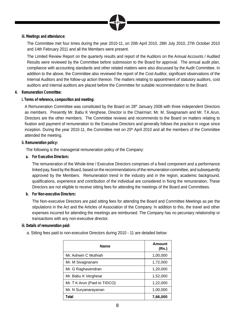

#### **iii. Meetings and attendance:**

 The Committee met four times during the year 2010-11, on 20th April 2010, 28th July 2010, 27th October 2010 and 14th February 2011 and all the Members were present.

 The Limited Review Report on the quarterly results and report of the Auditors on the Annual Accounts / Audited Results were reviewed by the Committee before submission to the Board for approval. The annual audit plan, compliance with accounting standards and other related matters were also discussed by the Audit Committee. In addition to the above, the Committee also reviewed the report of the Cost Auditor, significant observations of the Internal Auditors and the follow-up action thereon. The matters relating to appointment of statutory auditors, cost auditors and internal auditors are placed before the Committee for suitable recommendation to the Board.

#### **4. Remuneration Committee:**

#### **i. Terms of reference, composition and meeting:**

A Remuneration Committee was constituted by the Board on 28<sup>th</sup> January 2008 with three independent Directors as members. Presently Mr. Babu K Verghese, Director is the Chairman; Mr. M. Sivagnanam and Mr. T.K.Arun, Directors are the other members. The Committee reviews and recommends to the Board on matters relating to fixation and payment of remuneration to the Executive Directors and generally follows the practice in vogue since inception. During the year 2010-11, the Committee met on 20<sup>th</sup> April 2010 and all the members of the Committee attended the meeting.

#### **ii. Remuneration policy:**

The following is the managerial remuneration policy of the Company:

**a. For Executive Directors:**

The remuneration of the Whole-time / Executive Directors comprises of a fixed component and a performance linked pay, fixed by the Board, based on the recommendations of the remuneration committee, and subsequently approved by the Members. Remuneration trend in the industry and in the region, academic background, qualifications, experience and contribution of the individual are considered in fixing the remuneration. These Directors are not eligible to receive sitting fees for attending the meetings of the Board and Committees.

**b. For Non-executive Directors:**

 The Non-executive Directors are paid sitting fees for attending the Board and Committee Meetings as per the stipulations in the Act and the Articles of Association of the Company. In addition to this, the travel and other expenses incurred for attending the meetings are reimbursed. The Company has no pecuniary relationship or transactions with any non-executive director.

- **iii. Details of remuneration paid:**
	- a. Sitting fees paid to non-executive Directors during 2010 11 are detailed below:

| <b>Name</b>                  | Amount<br>(Rs.) |
|------------------------------|-----------------|
| Mr. Ashwin C Muthiah         | 1,00,000        |
| Mr. M Sivagnanam             | 1,72,000        |
| Mr. G Raghavendran           | 1,20,000        |
| Mr. Babu K Verghese          | 1,52,000        |
| Mr. T K Arun (Paid to TIDCO) | 1,22,000        |
| Mr. N Suryanarayanan         | 1,00,000        |
| Total                        | 7,66,000        |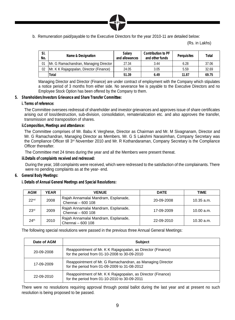

b. Remuneration paid/payable to the Executive Directors for the year 2010-11 are detailed below:

(Rs. in Lakhs)

| SI.<br>No. | Name & Designation                      | Salarv<br>and allowances | Contribution to PF<br>and other funds | Perguisites | Total |
|------------|-----------------------------------------|--------------------------|---------------------------------------|-------------|-------|
| 01         | Mr. G Ramachandran, Managing Director   | 27.34                    | 3.44                                  | 6.28        | 37.06 |
| 02         | Mr. K K Rajagopalan, Director (Finance) | 24.05                    | 3.05                                  | 5.59        | 32.69 |
|            | <b>Total</b>                            | 51.39                    | 6.49                                  | 11.87       | 69.75 |

 Managing Director and Director (Finance) are under contract of employment with the Company which stipulates a notice period of 3 months from either side. No severance fee is payable to the Executive Directors and no Employee Stock Option has been offered by the Company to them.

- **5. Shareholders/Investors Grievance and Share Transfer Committee:**
	- **i. Terms of reference:**

The Committee oversees redressal of shareholder and investor grievances and approves issue of share certificates arising out of loss/destruction, sub-division, consolidation, rematerialization etc. and also approves the transfer, transmission and transposition of shares.

**ii.Composition, Meetings and attendance:**

The Committee comprises of Mr. Babu K Verghese, Director as Chairman and Mr. M Sivagnanam, Director and Mr. G Ramachandran, Managing Director as Members. Mr. G S Lakshmi Narasimhan, Company Secretary was the Compliance Officer till 3<sup>rd</sup> November 2010 and Mr. R Kothandaraman, Company Secretary is the Compliance Officer thereafter.

The Committee met 24 times during the year and all the Members were present thereat.

**iii.Details of complaints received and redressed:**

During the year, 168 complaints were received, which were redressed to the satisfaction of the complainants. There were no pending complaints as at the year- end.

**6. General Body Meetings:**

 **i. Details of Annual General Meetings and Special Resolutions:**

| <b>AGM</b>       | <b>YEAR</b> | <b>VENUE</b>                                             | <b>DATE</b> | TIME         |
|------------------|-------------|----------------------------------------------------------|-------------|--------------|
| 22 <sub>nd</sub> | 2008        | Rajah Annamalai Mandram, Esplanade,<br>Chennai - 600 108 | 20-09-2008  | $10.35$ a.m. |
| 23 <sup>rd</sup> | 2009        | Rajah Annamalai Mandram, Esplanade,<br>Chennai - 600 108 | 17-09-2009  | 10.00 a.m.   |
| 24 <sup>th</sup> | 2010        | Rajah Annamalai Mandram, Esplanade,<br>Chennai - 600 108 | 22-09-2010  | 10.30 a.m.   |

The following special resolutions were passed in the previous three Annual General Meetings:

| Date of AGM | <b>Subject</b>                                                                                              |
|-------------|-------------------------------------------------------------------------------------------------------------|
| 20-09-2008  | Reappointment of Mr. K K Rajagopalan, as Director (Finance)<br>for the period from 01-10-2008 to 30-09-2010 |
| 17-09-2009  | Reappointment of Mr. G Ramachandran, as Managing Director<br>for the period from 01-09-2009 to 31-08-2012   |
| 22-09-2010  | Reappointment of Mr. K K Rajagopalan, as Director (Finance)<br>for the period from 01-10-2010 to 30-09-2011 |

 There were no resolutions requiring approval through postal ballot during the last year and at present no such resolution is being proposed to be passed.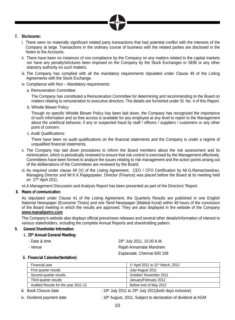

- **7. Disclosures:**
	- i. There were no materially significant related party transactions that had potential conflict with the interests of the Company at large. Transactions in the ordinary course of business with the related parties are disclosed in the Notes to the Accounts.
	- ii. There have been no instances of non-compliance by the Company on any matters related to the capital markets nor have any penalty/strictures been imposed on the Company by the Stock Exchanges or SEBI or any other statutory authority on such matters.
	- iii. The Company has complied with all the mandatory requirements stipulated under Clause 49 of the Listing Agreements with the Stock Exchange.
	- iv. Compliance with Non Mandatory requirements:
		- a. Remuneration Committee:

 The Company has constituted a Remuneration Committee for determining and recommending to the Board on matters relating to remuneration to executive directors. The details are furnished under Sl. No. 4 of this Report.

b. Whistle Blower Policy:

Though no specific Whistle Blower Policy has been laid down, the Company has recognized the importance of such information and so free access is available for any employee at any level to report to the Management about the unethical behavior, if any or suspected fraud by staff / officers / suppliers / customers or any other point of concern.

c. Audit Qualifications:

There have been no audit qualifications on the financial statements and the Company is under a regime of unqualified financial statements.

- v. The Company has laid down procedures to inform the Board members about the risk assessment and its minimization, which is periodically reviewed to ensure that risk control is exercised by the Management effectively. Committees have been formed to analyze the issues relating to risk management and the action points arising out of the deliberations of the Committees are reviewed by the Board.
- vi. As required under clause 49 (V) of the Listing Agreement, CEO / CFO Certification by Mr.G.Ramachandran, Managing Director and Mr.K.K.Rajagopalan, Director (Finance) was placed before the Board at its meeting held on  $27<sup>th</sup>$  April 2011.

vii.A Management Discussion and Analysis Report has been presented as part of the Directors' Report.

**8. Means of communication:**

 As stipulated under Clause 41 of the Listing Agreement, the Quarterly Results are published in one English National Newspaper (Economic Times) and one Tamil Newspaper (Makkal Kural) within 48 hours of the conclusion of the Board meeting in which the results are approved. They are also displayed in the website of the Company **www.manalipetro.com**

The Company's website also displays official press/news releases and several other details/information of interest to various stakeholders, including the complete Annual Reports and shareholding pattern.

**9. General Shareholder Information:**

 **i. 25th Annual General Meeting:**

- 
- 

- Date & time 29<sup>th</sup> July 2011, 10.00 A.M. - Venue **Rajah Annamalai Mandram** Esplanade, Chennai 600 108

 **ii. Financial Calendar(tentative):**

| Financial year                       | 1 <sup>st</sup> April 2011 to 31 <sup>st</sup> March, 2012 |
|--------------------------------------|------------------------------------------------------------|
| First quarter results                | July/ August 2011                                          |
| Second quarter results               | October/ November 2011                                     |
| Third quarter results                | January/February 2012                                      |
| Audited Results for the year 2011-12 | Before end of May 2012                                     |

**iii.** Book Closure date  $\qquad$ : 19<sup>th</sup> July 2011 to 29<sup>th</sup> July 2011(both days inclusive)

- 
- iv. Dividend payment date  $\cdot$  18<sup>th</sup> August, 2011, Subject to declaration of dividend at AGM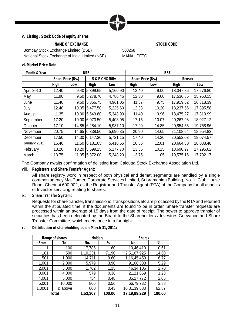

#### **v. Listing / Stock Code of equity shares**

| <b>NAME OF EXCHANGE</b>                        | STOCK CODE |
|------------------------------------------------|------------|
| Bombay Stock Exchange Limited (BSE)            | 500268     |
| National Stock Exchange of India Limited (NSE) | MANALIPETC |

#### **vi. Market Price Data**

| Month & Year | <b>NSE</b> |                   |                | <b>BSE</b>      |       |                   |           |           |
|--------------|------------|-------------------|----------------|-----------------|-------|-------------------|-----------|-----------|
|              |            | Share Price (Rs.) |                | S & P CNX Nifty |       | Share Price (Rs.) |           | Sensex    |
|              | High       | Low               | High           | Low             | High  | Low               | High      | Low       |
| April 2010   | 12.40      | 9.40              | 5.399.65       | 5,160.90        | 12.40 | 9.00              | 18.047.86 | 17,276.80 |
| May          | 11.90      |                   | 9.50 5.278.70  | 4,786.45        | 12.30 | 9.60              | 17,536.86 | 15,960.15 |
| June         | 11.40      | 9.60              | 5.366.75       | 4.961.05        | 11.37 | 9.75              | 17.919.62 | 16.318.39 |
| July         | 12.40      |                   | 10.05 5,477.50 | 5,225.60        | 12.33 | 10.20             | 18,237.56 | 17,395.58 |
| August       | 11.35      |                   | 10.00 5.549.80 | 5,348.90        | 11.40 | 9.96              | 18,475.27 | 17,819.99 |
| September    | 17.20      | 10.00             | 6,073.50       | 5.403.05        | 17.15 | 10.07             | 20.267.98 | 18.027.12 |
| October      | 17.10      |                   | 14.85 6.284.10 | 5,937.10        | 17.20 | 14.85             | 20,854.55 | 19,768.96 |
| November     | 20.75      | 14.65             | 6,338.50       | 5,690.35        | 20.90 | 14.65             | 21,108.64 | 18,954.82 |
| December     | 17.50      |                   | 14.30 6.147.30 | 5,721.15        | 17.40 | 14.20             | 20.552.03 | 19,074.57 |
| January 2011 | 16.40      |                   | 11.50 6.181.05 | 5,416.65        | 16.35 | 12.01             | 20.664.80 | 18,038.48 |
| February     | 13.20      |                   | 10.20 5,599.25 | 5,177.70        | 13.35 | 10.15             | 18,690.97 | 17,295.62 |
| March        | 13.75      |                   | 11.05 5.872.00 | 5.348.20        | 13.75 | 11.05             | 19.575.16 | 17.792.17 |

The Company awaits confirmation of delisting from Calcutta Stock Exchange Association Ltd.

 **viii. Registrars and Share Transfer Agent:**

 All share registry work in respect of both physical and demat segments are handled by a single common agency M/s Cameo Corporate Services Limited, Subramanian Building, No. 1, Club House Road, Chennai 600 002, as the Registrar and Transfer Agent (RTA) of the Company for all aspects of Investor servicing relating to shares.

 **ix. Share Transfer System:**

 Requests for share transfer, transmissions, transpositions etc are processed by the RTA and returned within the stipulated time, if the documents are found to be in order. Share transfer requests are processed within an average of 15 days from the date of receipt. The power to approve transfer of securities has been delegated by the Board to the Shareholders / Investors Grievance and Share Transfer Committee, which meets once in a fortnight.

|        | Range of shares | <b>Holders</b> |        | <b>Shares</b> |        |
|--------|-----------------|----------------|--------|---------------|--------|
| From   | Тo              | %<br>No.       |        | No.           | %      |
|        | 100             | 17,785         | 11.60  | 10,46,410     | 0.61   |
| 101    | 500             | 1,10,231       | 71.90  | 2,51,07,925   | 14.60  |
| 501    | 1,000           | 14,711         | 9.60   | 1,16,45,459   | 6.77   |
| 1,001  | 2,000           | 5,979          | 3.90   | 91,06,583     | 5.29   |
| 2,001  | 3,000           | 1,762          | 1.15   | 46,34,106     | 2.70   |
| 3,001  | 4,000           | 579            | 0.38   | 21,21,659     | 1.23   |
| 4,001  | 5,000           | 734<br>0.48    |        | 35, 17, 772   | 2.05   |
| 5,001  | 10,000          | 866            | 0.56   | 66,79,732     | 3.88   |
| 1,0001 | & above         | 660            | 0.43   | 10,81,39,583  | 62.87  |
| Total  |                 | 1,53,307       | 100.00 | 17,19,99,229  | 100.00 |

 **x. Distribution of shareholding as on March 31, 2011:**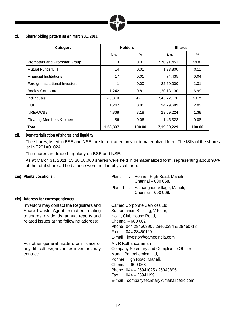

**xi. Shareholding pattern as on March 31, 2011:**

| Category                        | <b>Holders</b>     |       | <b>Shares</b> |        |
|---------------------------------|--------------------|-------|---------------|--------|
|                                 | No.                | ℅     | No.           | ℅      |
| Promoters and Promoter Group    | 13                 | 0.01  | 7,70,91,453   | 44.82  |
| Mutual Funds/UTI                | 14                 | 0.01  | 1,93,800      | 0.11   |
| <b>Financial Institutions</b>   | 17                 | 0.01  | 74,435        | 0.04   |
| Foreign Institutional Investors | 1                  | 0.00  | 22,60,000     | 1.31   |
| <b>Bodies Corporate</b>         | 1,242              | 0.81  | 1,20,13,130   | 6.99   |
| Individuals                     | 1,45,819           | 95.11 | 7,43,72,170   | 43.25  |
| <b>HUF</b>                      | 1,247              | 0.81  | 34,79,689     | 2.02   |
| NRIs/OCBs                       | 4,868              | 3.18  | 23,69,224     | 1.38   |
| Clearing Members & others       | 86                 | 0.06  | 1,45,328      | 0.08   |
| <b>Total</b>                    | 100.00<br>1,53,307 |       | 17,19,99,229  | 100.00 |

#### **xii. Dematerialization of shares and liquidity:**

The shares, listed in BSE and NSE, are to be traded only in dematerialized form. The ISIN of the shares is: INE201A01024.

The shares are traded regularly on BSE and NSE.

 As at March 31, 2011, 15,38,58,000 shares were held in dematerialized form, representing about 90% of the total shares. The balance were held in physical form.

| xiii) Plants Locations :                                                                                                                                                      |                   | Plant I : Ponneri High Road, Manali                                                                                                                                                                                                   |
|-------------------------------------------------------------------------------------------------------------------------------------------------------------------------------|-------------------|---------------------------------------------------------------------------------------------------------------------------------------------------------------------------------------------------------------------------------------|
|                                                                                                                                                                               |                   | Chennai - 600 068.                                                                                                                                                                                                                    |
|                                                                                                                                                                               |                   | Plant II : Sathangadu Village, Manali,<br>Chennai - 600 068.                                                                                                                                                                          |
| xiv) Address for correspondence:                                                                                                                                              |                   |                                                                                                                                                                                                                                       |
| Investors may contact the Registrars and<br>Share Transfer Agent for matters relating<br>to shares, dividends, annual reports and<br>related issues at the following address: | Chennai - 600 002 | Cameo Corporate Services Ltd,<br>Subramanian Building, V Floor,<br>No: 1, Club House Road,<br>Phone: 044 28460390 / 28460394 & 28460718<br>Fax: 044 28460129<br>E-mail: investor@cameoindia.com                                       |
| For other general matters or in case of<br>any difficulties/grievances investors may<br>contact:                                                                              | Chennai - 600 068 | Mr. R Kothandaraman<br>Company Secretary and Compliance Officer<br>Manali Petrochemical Ltd.<br>Ponneri High Road, Manali,<br>Phone: 044 - 25941025 / 25943895<br>Fax: $0.044 - 25941199$<br>E-mail: companysecretary@manalipetro.com |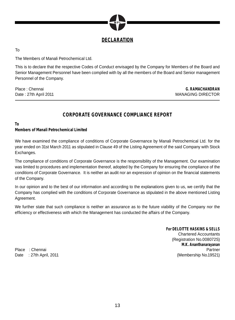

**DECLARATION**

To

The Members of Manali Petrochemical Ltd.

This is to declare that the respective Codes of Conduct envisaged by the Company for Members of the Board and Senior Management Personnel have been complied with by all the members of the Board and Senior management Personnel of the Company.

Place : Chennai Date : 27th April 2011

**G. RAMACHANDRAN** MANAGING DIRECTOR

#### **CORPORATE GOVERNANCE COMPLIANCE REPORT**

**To**

**Members of Manali Petrochemical Limited**

We have examined the compliance of conditions of Corporate Governance by Manali Petrochemical Ltd. for the year ended on 31st March 2011 as stipulated in Clause 49 of the Listing Agreement of the said Company with Stock Exchanges.

The compliance of conditions of Corporate Governance is the responsibility of the Management. Our examination was limited to procedures and implementation thereof, adopted by the Company for ensuring the compliance of the conditions of Corporate Governance. It is neither an audit nor an expression of opinion on the financial statements of the Company.

In our opinion and to the best of our information and according to the explanations given to us, we certify that the Company has complied with the conditions of Corporate Governance as stipulated in the above mentioned Listing Agreement.

We further state that such compliance is neither an assurance as to the future viability of the Company nor the efficiency or effectiveness with which the Management has conducted the affairs of the Company.

**For DELOITTE HASKINS & SELLS** Chartered Accountants (Registration No.008072S) **M.K. Ananthanarayanan** Place : Chennai Partner : Partner : Partner : Partner : Partner : Partner : Partner : Partner : Partner : Partner : Partner : Partner : Partner : Partner : Partner : Partner : Partner : Partner : Partner : Partner : Partne Date : 27th April, 2011 (Membership No.19521)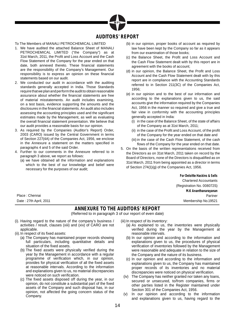

#### **AUDITORS' REPORT**

To The Members of MANALI PETROCHEMICAL LIMITED

- 1. We have audited the attached Balance Sheet of MANALI PETROCHEMICAL LIMITED ("the Company") as at 31st March, 2011, the Profit and Loss Account and the Cash Flow Statement of the Company for the year ended on that date, both annexed thereto. These financial statements are the responsibility of the Company's Management. Our responsibility is to express an opinion on these financial statements based on our audit.
- 2. We conducted our audit in accordance with the auditing standards generally accepted in India. Those Standards require that we plan and perform the audit to obtain reasonable assurance about whether the financial statements are free of material misstatements. An audit includes examining, on a test basis, evidence supporting the amounts and the disclosures in the financial statements. An audit also includes assessing the accounting principles used and the significant estimates made by the Management, as well as evaluating the overall financial statement presentation. We believe that our audit provides a reasonable basis for our opinion.
- 3. As required by the Companies (Auditor's Report) Order, 2003 (CARO) issued by the Central Government in terms of Section 227(4A) of the Companies Act, 1956, we enclose in the Annexure a statement on the matters specified in paragraphs 4 and 5 of the said Order.
- 4. Further to our comments in the Annexure referred to in paragraph 3 above, we report as follows:
	- (a) we have obtained all the information and explanations which to the best of our knowledge and belief were necessary for the purposes of our audit;
- (b) in our opinion, proper books of account as required by law have been kept by the Company so far as it appears from our examination of those books;
- (c) the Balance Sheet, the Profit and Loss Account and the Cash Flow Statement dealt with by this report are in agreement with the books of account;
- (d) in our opinion, the Balance Sheet, the Profit and Loss Account and the Cash Flow Statement dealt with by this report are in compliance with the Accounting Standards referred to in Section 211(3C) of the Companies Act, 1956;
- (e) in our opinion and to the best of our information and according to the explanations given to us, the said accounts give the information required by the Companies Act, 1956 in the manner so required and give a true and fair view in conformity with the accounting principles generally accepted in India:
	- (i) in the case of the Balance Sheet, of the state of affairs of the Company as at 31st March, 2011;
	- (ii) in the case of the Profit and Loss Account, of the profit of the Company for the year ended on that date and
	- (iii) in the case of the Cash Flow Statement, of the cash flows of the Company for the year ended on that date.
- 5. On the basis of the written representations received from the Directors as on 31st March, 2011 taken on record by the Board of Directors, none of the Directors is disqualified as on 31st March, 2011 from being appointed as a director in terms of Section 274(1)(g) of the Companies Act, 1956.

**For Deloitte Haskins & Sells** Chartered Accountants (Registration No. 008072S) **M.K Ananthanarayanan** Partner Membership No.19521

Place : Chennai Date : 27th April, 2011

#### **ANNEXURE TO THE AUDITORS' REPORT** (Referred to in paragraph 3 of our report of even date)

- (i). Having regard to the nature of the company's business / activities / result, clauses (xiii) and (xiv) of CARO are not applicable.
- (ii). In respect of its fixed assets:
	- (a) The Company has maintained proper records showing full particulars, including quantitative details and situation of the fixed assets.
	- (b) The fixed assets were physically verified during the year by the Management in accordance with a regular programme of verification which, in our opinion, provides for physical verification of all the fixed assets at reasonable intervals. According to the information and explanations given to us, no material discrepancies were noticed on such verification.
	- (c) The fixed assets disposed off during the year, in our opinion, do not constitute a substantial part of the fixed assets of the Company and such disposal has, in our opinion, not affected the going concern status of the Company.

(iii) In respect of its inventory:

- (a) As explained to us, the inventories were physically verified during the year by the Management at reasonable intervals.
- (b) In our opinion and according to the information and explanations given to us, the procedures of physical verification of inventories followed by the Management were reasonable and adequate in relation to the size of the Company and the nature of its business.
- (c) In our opinion and according to the information and explanations given to us, the Company has maintained proper records of its inventories and no material discrepancies were noticed on physical verification.
- (iv) The Company has neither granted nor taken any loans, secured or unsecured, to/from companies, firms or other parties listed in the Register maintained under Section 301 of the Companies Act, 1956.
- (v) In our opinion and according to the information and explanations given to us, having regard to the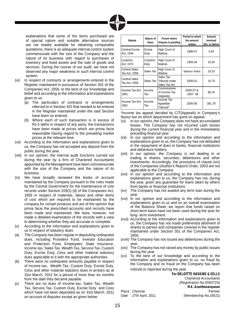

explanations that some of the items purchased are of special nature and suitable alternative sources are not readily available for obtaining comparable quotations, there is an adequate internal control system commensurate with the size of the Company and the nature of its business with regard to purchases of inventory and fixed assets and the sale of goods and services. During the course of our audit, we have not observed any major weakness in such internal control system.

- (vi) In respect of contracts or arrangements entered in the Register maintained in pursuance of Section 301 of the Companies Act, 1956, to the best of our knowledge and belief and according to the information and explanations given to us:
	- (a) The particulars of contracts or arrangements referred to in Section 301 that needed to be entered in the Register maintained under the said Section have been so entered.
	- (b) Where each of such transaction is in excess of Rs.5 lakhs in respect of any party, the transactions have been made at prices which are prima facie reasonable having regard to the prevailing market prices at the relevant time.
- (vii) According to the information and explanations given to us, the Company has not accepted any deposit from the public during the year.
- (viii) In our opinion, the internal audit functions carried out during the year by a firm of Chartered Accountants appointed by the Management have been commensurate with the size of the Company and the nature of its business.
- (ix) We have broadly reviewed the books of account maintained by the Company pursuant to the rules made by the Central Government for the maintenance of cost records under Section 209(1) (d) of the Companies Act, 1956 in respect of materials, labour and other items of cost which are required to be maintained by the company for certain products and are of the opinion that prima facie the prescribed accounts and records have been made and maintained. We have, however, not made a detailed examination of the records with a view to determining whether they are accurate or complete.
- (x) According to the information and explanations given to us in respect of statutory dues:
- (a) The Company has been regular in depositing undisputed dues, including Provident Fund, Investor Education and Protection Fund, Employees' State Insurance, Income-tax, Sales Tax, Wealth Tax, Service Tax, Custom Duty, Excise Duty, Cess and other material statutory dues applicable to it with the appropriate authorities.
- (b) There were no undisputed amounts payable in respect of Income-tax, Wealth Tax, Custom Duty, Excise Duty, Cess and other material statutory dues in arrears as at 31st March, 2011 for a period of more than six months from the date they became payable.
- (c) There are no dues of Income-tax, Sales Tax, Wealth Tax, Service Tax, Custom Duty, Excise Duty and Cess which have not been deposited as on 31st March, 2011 on account of disputes except as given below:

| <b>Statute</b>                 | Nature of<br><b>Dues</b> | Forum where<br>Dispute is pending            | Period to which<br>the amount<br>relates | Amount<br>involved<br>(Rs. in lakhs) |
|--------------------------------|--------------------------|----------------------------------------------|------------------------------------------|--------------------------------------|
| Central Excise<br>Act, 1944    | Excise<br>Duty           | High Court of<br>Madras                      | 1996-97                                  | 4.64                                 |
| Customs<br>Act, 1972           | Customs<br>Duty          | High Court of<br>Madras                      | 1993-94                                  | 10.04                                |
| Central Sales<br>Tax Act, 1956 | Sales Tax                | High Court of<br>Madras                      | Various Years                            | 10.23                                |
| Central Sales<br>Tax Act, 1956 | Sales Tax                | Sales Tax<br>Tribunal under<br>Sales Tax Act | 2000-01                                  | 10.74                                |
| Income Tax Act,<br>1961        | Income<br>Тах            | Commissioner<br>of Income Tax<br>(Appeals)   | 2006-07 &<br>2007-08                     | 96.24                                |
| Income Tax Act.<br>1961        | Income<br>Тах            | Income Tax<br>Appellate<br>Tribunal*         | 2005-06                                  | 391.78                               |

\*Income tax appeal decided by CIT(Appeals) in Company's favour but on which department has gone on appeal.

- (xi) In our opinion, the Company does not have accumulated losses. The Company has not incurred cash losses during the current financial year and in the immediately preceding financial year.
- (xii) In our opinion and according to the information and explanations given to us, the Company has not defaulted in the repayment of dues to banks, financial institutions and debenture holders.
- (xiii) In our opinion, the Company is not dealing in or trading in shares, securities, debentures and other investments. Accordingly, the provisions of clause (xiv) of the Companies (Auditor's Report) Order, 2003 are not applicable to the Company.
- (xiv) In our opinion and according to the information and explanations given to us, the Company has not, during the year, given any guarantee for loans taken by others from banks or financial institutions.
- (xv) The Company has not availed any term loan during the year.
- (xvi) In our opinion and according to the information and explanations given to us and on an overall examination of the Balance Sheet, we report that funds raised on short-term basis have not been used during the year for long- term investment.
- (xvii) According to the information and explanations given to us, the Company has not made preferential allotment of shares to parties and companies covered in the register maintained under Section 301 of the Companies Act, 1956.
- (xviii) The Company has not issued any debentures during the year.
- (xix) The Company has not raised any money by public issues during the year.
- (xx) To the best of our knowledge and according to the information and explanations given to us, no fraud by the Company and no fraud on the Company has been noticed or reported during the year.

**For DELOITTE HASKINS & SELLS** Chartered Accountants (Registration No.008072S) **M.K. Ananthanarayanan** Place : Chennai Partner Date: 27th April, 2011 (Membership No.19521)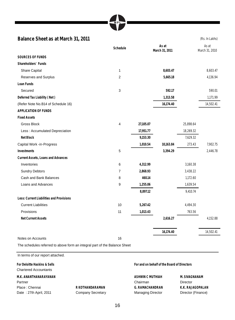#### **Balance Sheet as at March 31, 2011** (Rs. In Lakhs)

|                                          | Schedule       |           | As at<br>March 31, 2011 |           | As at<br>March 31, 2010 |
|------------------------------------------|----------------|-----------|-------------------------|-----------|-------------------------|
| <b>SOURCES OF FUNDS</b>                  |                |           |                         |           |                         |
| Shareholders' Funds                      |                |           |                         |           |                         |
| <b>Share Capital</b>                     | 1              |           | 8,603.47                |           | 8,603.47                |
| Reserves and Surplus                     | 2              |           | 5,665.18                |           | 4,136.94                |
| Loan Funds                               |                |           |                         |           |                         |
| Secured                                  | 3              |           | 592.17                  |           | 590.01                  |
| Deferred Tax Liability (Net)             |                |           | 1,313.58                |           | 1,171.99                |
| (Refer Note No.B14 of Schedule 16)       |                |           | 16,174.40               |           | 14,502.41               |
| <b>APPLICATION OF FUNDS</b>              |                |           |                         |           |                         |
| <b>Fixed Assets</b>                      |                |           |                         |           |                         |
| <b>Gross Block</b>                       | 4              | 27,105.07 |                         | 25,898.64 |                         |
| Less: Accumulated Depreciation           |                | 17,951.77 |                         | 18,269.32 |                         |
| <b>Net Block</b>                         |                | 9,153.30  |                         | 7,629.32  |                         |
| Capital Work -in-Progress                |                | 1,010.54  | 10,163.84               | 273.43    | 7,902.75                |
| <b>Investments</b>                       | 5              |           | 3,394.29                |           | 2,446.78                |
| Current Assets, Loans and Advances       |                |           |                         |           |                         |
| Inventories                              | 6              | 4,312.99  |                         | 3,160.38  |                         |
| <b>Sundry Debtors</b>                    | $\overline{7}$ | 2,868.93  |                         | 3,438.22  |                         |
| Cash and Bank Balances                   | 8              | 460.14    |                         | 1,172.60  |                         |
| Loans and Advances                       | 9              | 1,255.06  |                         | 1,639.54  |                         |
|                                          |                | 8,897.12  |                         | 9,410.74  |                         |
| Less: Current Liabilities and Provisions |                |           |                         |           |                         |
| <b>Current Liabilities</b>               | 10             | 5,267.42  |                         | 4,494.30  |                         |
| Provisions                               | 11             | 1,013.43  |                         | 763.56    |                         |
| <b>Net Current Assets</b>                |                |           | 2,616.27                |           | 4,152.88                |
|                                          |                |           | 16,174.40               |           | 14,502.41               |
| Notes on Accounts                        | 16             |           |                         |           |                         |

The schedules referred to above form an integral part of the Balance Sheet

In terms of our report attached. **For Deloitte Haskins & Sells** Chartered Accountants **For and on behalf of the Board of Directors M.K. ANANTHANARAYANAN** Partner **ASHWIN C MUTHIAH** Chairman **M. SIVAGNANAM**  Director Place : Chennai Date : 27th April, 2011 **R KOTHANDARAMAN** Company Secretary **G. RAMACHANDRAN** Managing Director **K.K. RAJAGOPALAN** Director (Finance)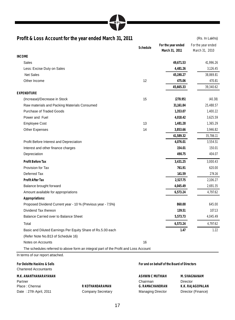

#### **Profit & Loss Account for the year ended March 31, 2011** (Rs. In Lakhs)

|                                                                                      | Schedule | For the year ended<br>March 31, 2011 | For the year ended<br>March 31, 2010 |
|--------------------------------------------------------------------------------------|----------|--------------------------------------|--------------------------------------|
| <b>INCOME</b>                                                                        |          |                                      |                                      |
| <b>Sales</b>                                                                         |          | 49,671.53                            | 41,996.26                            |
| Less: Excise Duty on Sales                                                           |          | 4,481.26                             | 3,126.45                             |
| <b>Net Sales</b>                                                                     |          | 45,190.27                            | 38,869.81                            |
| Other Income                                                                         | 12       | 475.06                               | 470.81                               |
|                                                                                      |          | 45,665.33                            | 39,340.62                            |
| <b>EXPENDITURE</b>                                                                   |          |                                      |                                      |
| (Increase)/Decrease in Stock                                                         | 15       | (278.95)                             | (40.38)                              |
| Raw materials and Packing Materials Consumed                                         |          | 31,161.84                            | 25,488.57                            |
| <b>Purchase of Traded Goods</b>                                                      |          | 1,353.07                             | 1,400.22                             |
| Power and Fuel                                                                       |          | 4,018.42                             | 3,625.59                             |
| <b>Employee Cost</b>                                                                 | 13       | 1,481.28                             | 1,365.29                             |
| Other Expenses                                                                       | 14       | 3,853.66                             | 3,946.82                             |
|                                                                                      |          | 41,589.32                            | 35,786.11                            |
| Profit Before Interest and Depreciation                                              |          | 4,076.01                             | 3,554.51                             |
| Interest and other finance charges                                                   |          | 154.01                               | 150.01                               |
| Depreciation                                                                         |          | 490.75                               | 404.07                               |
| <b>Profit Before Tax</b>                                                             |          | 3,431.25                             | 3,000.43                             |
| Provision for Tax                                                                    |          | 761.91                               | 620.00                               |
| Deferred Tax                                                                         |          | 141.59                               | 274.16                               |
| <b>Profit After Tax</b>                                                              |          | 2,527.75                             | 2,106.27                             |
| Balance brought forward                                                              |          | 4,045.49                             | 2,691.35                             |
| Amount available for appropriations                                                  |          | 6,573.24                             | 4,797.62                             |
| Appropriations:                                                                      |          |                                      |                                      |
| Proposed Dividend Current year - 10 % (Previous year - 7.5%)                         |          | 860.00                               | 645.00                               |
| Dividend Tax thereon                                                                 |          | 139.51                               | 107.13                               |
| Balance Carried over to Balance Sheet                                                |          | 5,573.73                             | 4,045.49                             |
| Total                                                                                |          | 6,573.24                             | 4,797.62                             |
| Basic and Diluted Earnings Per Equity Share of Rs.5.00 each                          |          | 1.47                                 | 1.22                                 |
| (Refer Note No.B13 of Schedule 16)                                                   |          |                                      |                                      |
| Notes on Accounts                                                                    | 16       |                                      |                                      |
| The schedules referred to above form an integral part of the Profit and Loss Account |          |                                      |                                      |
| In terms of our report attached.                                                     |          |                                      |                                      |

**For Deloitte Haskins & Sells** Chartered Accountants

**M.K. ANANTHANARAYANAN** Partner Place : Chennai Date : 27th April, 2011

**R KOTHANDARAMAN** Company Secretary **For and on behalf of the Board of Directors**

**ASHWIN C MUTHIAH** Chairman **G. RAMACHANDRAN** Managing Director

**M. SIVAGNANAM**  Director **K.K. RAJAGOPALAN** Director (Finance)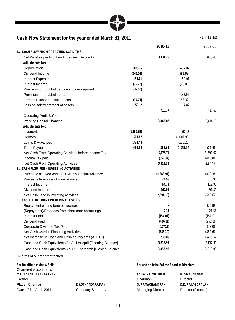| MPI |  |
|-----|--|
|-----|--|

#### Cash Flow Statement for the year ended March 31, 2011 **Cash Flow Statement for the year ended March 31, 2011**

|                                                               |             | 2010-11    |            | 2009-10  |
|---------------------------------------------------------------|-------------|------------|------------|----------|
| A. CASH FLOW FROM OPERATING ACTIVITIES                        |             |            |            |          |
| Net Profit as per Profit and Loss A/c Before Tax              |             | 3,431.25   |            | 3,000.43 |
| Adjustments for:                                              |             |            |            |          |
| Depreciation                                                  | 490.75      |            | 404.07     |          |
| Dividend Income                                               | (147.04)    |            | (91.89)    |          |
| <b>Interest Expense</b>                                       | 154.01      |            | 150.01     |          |
| Interest Income                                               | (72.72)     |            | (78.08)    |          |
| Provision for doubtful debts no longer required               | (37.60)     |            |            |          |
| Provision for doubtful debts                                  |             |            | 182.06     |          |
| Foreign Exchange Fluctuations                                 | (34.75)     |            | (163.32)   |          |
| Loss on sale/retirement of assets                             | 58.12       |            | 14.82      |          |
|                                                               |             | 410.77     |            | 417.67   |
| <b>Operating Profit Before</b>                                |             |            |            |          |
| <b>Working Capital Changes</b>                                |             | 3,842.02   |            | 3.418.10 |
| Adjustments for:                                              |             |            |            |          |
| Inventories                                                   | (1, 152.61) |            | 60.18      |          |
| <b>Debtors</b>                                                | 614.87      |            | (1,001.99) |          |
| Loans & Advances                                              | 384.48      |            | (136.22)   |          |
| <b>Trade Payables</b>                                         | 486.95      | 333.69     | 1,051.55   | (26.48)  |
| Net Cash From Operating Activities before Income Tax          |             | 4,175.71   |            | 3,391.62 |
| Income Tax paid                                               |             | (657.37)   |            | (443.88) |
| Net Cash From Operating Activities                            |             | 3,518.34   |            | 2,947.74 |
| <b>B. CASH FLOW FROM INVESTING ACTIVITIES</b>                 |             |            |            |          |
| Purchase of Fixed Assets, CWIP & Capital Advance              |             | (2,883.91) |            | (809.38) |
| Proceeds from sale of Fixed Assets                            |             | 73.95      |            | 16.95    |
| Interest Income                                               |             | 64.73      |            | 119.92   |
| Dividend Income                                               |             | 147.04     |            | 91.89    |
| Net Cash used in investing activities                         |             | (2,598.19) |            | (580.62) |
| C. CASH FLOW FROM FINANCING ACTIVITIES                        |             |            |            |          |
| Repayment of long term borrowings                             |             |            |            | (426.89) |
| (Repayment)/Proceeds from short term borrowings               |             | 2.15       |            | 21.56    |
| <b>Interest Paid</b>                                          |             | (154.01)   |            | (150.01) |
| Dividend Paid                                                 |             | (426.11)   |            | (252.18) |
| Corporate Dividend Tax Paid                                   |             | (107.13)   |            | (73.08)  |
| Net Cash Used in Financing Activities                         |             | (685.10)   |            | (880.60) |
| Net Increase in Cash and Cash equivalents (A+B+C)             |             | 235.05     |            | 1,486.52 |
| Cash and Cash Equivalents As At 1 st April [Opening Balance]  |             | 3,618.93   |            | 2,132.41 |
| Cash and Cash Equivalents As At 31 st March [Closing Balance] |             | 3,853.98   |            | 3,618.93 |

In terms of our report attached

**For Deloitte Haskins & Sells** Chartered Accountants **M.K. ANANTHANARAYANAN** Partner Place : Chennai Date : 27th April, 2011

**R KOTHANDARAMAN** Company Secretary **For and on behalf of the Board of Directors**

**ASHWIN C MUTHIAH** Chairman **M. SIVAGNANAM**  Director **G. RAMACHANDRAN** Managing Director **K.K. RAJAGOPALAN** Director (Finance)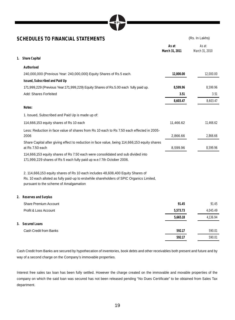| SCHEDULES TO FINANCIAL STATEMENTS                                                                                                                         |                         | (Rs. In Lakhs)          |
|-----------------------------------------------------------------------------------------------------------------------------------------------------------|-------------------------|-------------------------|
|                                                                                                                                                           | As at<br>March 31, 2011 | As at<br>March 31, 2010 |
| <b>Share Capital</b><br>1.                                                                                                                                |                         |                         |
| Authorised                                                                                                                                                |                         |                         |
| 240,000,000 (Previous Year: 240,000,000) Equity Shares of Rs.5 each.                                                                                      | 12,000.00               | 12.000.00               |
| Issued, Subscribed and Paid Up                                                                                                                            |                         |                         |
| 171,999,229 (Previous Year:171,999,229) Equity Shares of Rs.5.00 each fully paid up.                                                                      | 8,599.96                | 8,599.96                |
| Add: Shares Forfeited                                                                                                                                     | 3.51                    | 3.51                    |
|                                                                                                                                                           | 8,603.47                | 8,603.47                |
| Notes:                                                                                                                                                    |                         |                         |
| 1. Issued, Subscribed and Paid Up is made up of:                                                                                                          |                         |                         |
| 114,666,153 equity shares of Rs 10 each                                                                                                                   | 11,466.62               | 11,466.62               |
| Less: Reduction in face value of shares from Rs 10 each to Rs 7.50 each effected in 2005-                                                                 |                         |                         |
| 2006                                                                                                                                                      | 2,866.66                | 2,866.66                |
| Share Capital after giving effect to reduction in face value, being 114,666,153 equity shares<br>at Rs 7.50 each                                          | 8,599.96                | 8,599.96                |
| 114,666,153 equity shares of Rs 7.50 each were consolidated and sub divided into<br>171,999,229 shares of Rs 5 each fully paid up w.e.f 7th October 2006. |                         |                         |

2. 114,666,153 equity shares of Rs 10 each includes 48,608,400 Equity Shares of Rs. 10 each alloted as fully paid-up to erstwhile shareholders of SPIC Organics Limited, pursuant to the scheme of Amalgamation

**2. Reserves and Surplus**

| <b>Share Premium Account</b> | 91.45    | 91.45    |
|------------------------------|----------|----------|
| Profit & Loss Account        | 5,573.73 | 4.045.49 |
|                              | 5,665.18 | 4,136.94 |
| 3. Secured Loans             |          |          |
| Cash Credit from Banks       | 592.17   | 590.01   |
|                              | 592.17   | 590.01   |

Cash Credit from Banks are secured by hypothecation of inventories, book debts and other receivables both present and future and by way of a second charge on the Company's immovable properties.

Interest free sales tax loan has been fully settled. However the charge created on the immovable and movable properties of the company on which the said loan was secured has not been released pending "No Dues Certificate" to be obtained from Sales Tax department.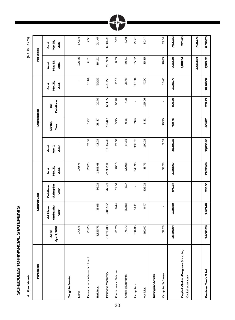SCHEDULES TO FINANCIAL STATEMENTS **SCHEDULES TO FINANCIAL STATEMENTS** 

 **4 Fixed Assets** (Rs. in Lakhs) 4 Fixed Assets

(Rs. in Lakhs)

| Particulars                                              |                       | Original Cost                   |                                 |                           |                          | Depreciation   |                       |                          | Net Block                 |                           |
|----------------------------------------------------------|-----------------------|---------------------------------|---------------------------------|---------------------------|--------------------------|----------------|-----------------------|--------------------------|---------------------------|---------------------------|
|                                                          | Apr. 1, 2010<br>As at | during the<br>Additions<br>year | during the<br>Deletions<br>year | Mar. 31,<br>As at<br>2011 | As at<br>Apr. 1,<br>2010 | Forthe<br>Year | Deletions<br>$\delta$ | Mar. 31,<br>Asat<br>2011 | Mar. 31,<br>As at<br>2011 | Mar. 31,<br>As at<br>2010 |
| Tangible Assets:                                         |                       |                                 |                                 |                           |                          |                |                       |                          |                           |                           |
| Land                                                     | 179.75                |                                 |                                 | 179.75                    |                          |                |                       | ł,                       | 179.75                    | 179.75                    |
| Development on lease hold land                           | 20.25                 |                                 |                                 | 20.25                     | 12.57                    | 1.07           |                       | 13.64                    | 6.61                      | 7.68                      |
| <b>Buildings</b>                                         | 1,325.71              | 13.93                           | 36.21                           | 1,303.43                  | 411.24                   | 38.87          | 10.79                 | 439.32                   | 864.11                    | 914.47                    |
| Plant and Machinery                                      | 23,648.83             | 2,057.32                        | 768.74                          | 24,937.41                 | 17,267.78                | 416.09         | 664.35                | 17,019.52                | 7,917.89                  | 6,381.05                  |
| Furniture and Fixtures                                   | 81.76                 | 8.44                            | 11.04                           | 79.16                     | 75.03                    | 6.30           | 10.20                 | 71.13                    | 8.03                      | 6.73                      |
| Office Equipments                                        | 75.72                 | 52.53                           | 8.17                            | 120.08                    | 34.31                    | 6.16           | 7.00                  | 33.47                    | 86.61                     | 41.41                     |
| Computers                                                | 334.85                | 14.11                           |                                 | 348.96                    | 305.65                   | 7.69           |                       | 313.34                   | 35.62                     | 29.20                     |
| Vehicles                                                 | 199.49                | 0.47                            | 116.21                          | 83.75                     | 160.05                   | 3.81           | 115.96                | 47.90                    | 35.85                     | 39.44                     |
| Intangible Assets                                        |                       |                                 |                                 |                           |                          |                |                       |                          |                           |                           |
| Computer Software                                        | 32.28                 |                                 |                                 | 32.28                     | 2.69                     | 10.76          |                       | 13.45                    | 18.83                     | 29.59                     |
|                                                          | 25,898.64             | 2,146.80                        | 940.37                          | 27,105.07                 | 18,269.32                | 490.75         | 808.30                | 17,951.77                | 9,153.30                  | 7,629.32                  |
| Capital Work-in-Progress (including<br>Capital advances) |                       |                                 |                                 |                           |                          |                |                       |                          | 1,010.54                  | 273.43                    |
|                                                          |                       |                                 |                                 |                           |                          |                |                       |                          | 10,163.84                 | 7,902.75                  |
| Previous Year's Total                                    | 24,668.24             | 1,465.40                        | 235.00                          | 25,898.64                 | 18,068.48                | 404.07         | 203.23                | 18,269.32                | 7,629.32                  | 6,599.76                  |

MPL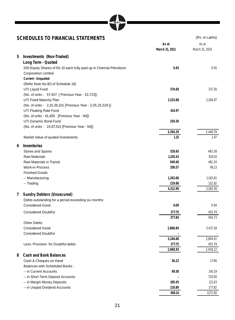#### **SCHEDULES TO FINANCIAL STATEMENTS** (Rs. In Lakhs)

|   |                                                                    | As at          | As at          |
|---|--------------------------------------------------------------------|----------------|----------------|
|   |                                                                    | March 31, 2011 | March 31, 2010 |
| 5 | Investments (Non-Traded)                                           |                |                |
|   | Long Term - Quoted                                                 |                |                |
|   | 500 Equity Shares of Rs 10 each fully paid up in Chennai Petroleum | 0.45           | 0.45           |
|   | <b>Corporation Limited</b>                                         |                |                |
|   | Current - Unquoted                                                 |                |                |
|   | (Refer Note No.B3 of Schedule 16)                                  |                |                |
|   | UTI Liquid Fund                                                    | 574.69         | 337.36         |
|   | (No. of units - 57,457 [ Previous Year - 33,723])                  |                |                |
|   | UTI Fixed Maturity Plan                                            | 2,153.88       | 2,108.97       |
|   | (No. of units - 2,15,36,101 [Previous Year - 2,05,25,529 ])        |                |                |
|   | UTI Floating Rate Fund                                             | 414.97         |                |
|   | (No. of units - 41,465 [Previous Year - Nil])                      |                |                |
|   | UTI Dynamic Bond Fund                                              | 250.30         |                |
|   | (No. of units - 24,87,513 [Previous Year - Nil])                   |                |                |
|   |                                                                    | 3,394.29       | 2,446.78       |
|   | Market Value of quoted investments                                 | 1.15           | 1.47           |
| 6 | Inventories                                                        |                |                |
|   | <b>Stores and Spares</b>                                           | 528.65         | 465.38         |
|   | <b>Raw Materials</b>                                               | 1,150.43       | 819.10         |
|   | Raw Materials in Transit                                           | 940.40         | 461.34         |
|   | Work-in-Process                                                    | 200.57         | 96.13          |
|   | <b>Finished Goods</b>                                              |                |                |
|   | -- Manufacturing                                                   | 1,263.06       | 1,165.61       |
|   | -- Trading                                                         | 229.88         | 152.82         |
|   |                                                                    | 4,312.99       | 3,160.38       |
| 7 | <b>Sundry Debtors (Unsecured)</b>                                  |                |                |
|   | Debts outstanding for a period exceeding six months:               |                |                |
|   | <b>Considered Good</b>                                             | 0.09           | 0.94           |
|   | <b>Considered Doubtful</b>                                         | 377.75         | 455.79         |
|   |                                                                    | 377.84         | 456.73         |
|   | Other Debts:                                                       |                |                |
|   | <b>Considered Good</b>                                             | 2,868.84       | 3,437.28       |
|   | <b>Considered Doubtful</b>                                         |                |                |
|   |                                                                    | 3,246.68       | 3,894.01       |
|   | Less: Provision for Doubtful debts                                 | 377.75         | 455.79         |
|   |                                                                    | 2,868.93       | 3,438.22       |
| 8 | <b>Cash and Bank Balances</b>                                      |                |                |
|   | Cash & Cheques on Hand                                             | 36.22          | 17.96          |
|   | <b>Balances with Scheduled Banks:</b>                              |                |                |
|   | -- in Current Accounts                                             | 99.58          | 145.19         |
|   | -- in Short Term Deposit Accounts                                  |                | 720.00         |
|   | -- in Margin Money Deposits                                        | 105.45         | 111.63         |
|   | -- in Unpaid Dividend Accounts                                     | 218.89         | 177.82         |
|   |                                                                    | 460.14         | 1172.60        |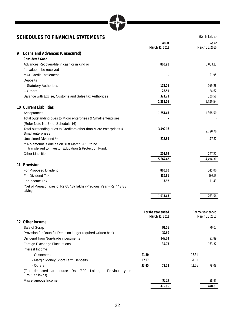# **MPT**

### **SCHEDULES TO FINANCIAL STATEMENTS** (Rs. In Lakhs)

|   |                                                                                                         | March 31, 2011                       | As at    |       | As at<br>March 31, 2010              |
|---|---------------------------------------------------------------------------------------------------------|--------------------------------------|----------|-------|--------------------------------------|
| 9 | Loans and Advances (Unsecured)                                                                          |                                      |          |       |                                      |
|   | <b>Considered Good</b>                                                                                  |                                      |          |       |                                      |
|   | Advances Recoverable in cash or in kind or                                                              |                                      | 800.98   |       | 1.033.13                             |
|   | for value to be received                                                                                |                                      |          |       |                                      |
|   | <b>MAT Credit Entitlement</b>                                                                           |                                      |          |       | 91.95                                |
|   | Deposits                                                                                                |                                      |          |       |                                      |
|   | -- Statutory Authorities                                                                                |                                      | 102.26   |       | 169.26                               |
|   | -- Others                                                                                               |                                      | 28.59    |       | 24.62                                |
|   | Balance with Excise, Customs and Sales tax Authorities                                                  |                                      | 323.23   |       | 320.58                               |
|   |                                                                                                         |                                      | 1,255.06 |       | 1,639.54                             |
|   | 10 Current Liabilities                                                                                  |                                      |          |       |                                      |
|   | Acceptances                                                                                             |                                      | 1,251.45 |       | 1,368.50                             |
|   | Total outstanding dues to Micro enterprises & Small enterprises<br>(Refer Note No.B4 of Schedule 16)    |                                      |          |       |                                      |
|   | Total outstanding dues to Creditors other than Micro enterprises &<br>Small enterprises                 |                                      | 3,492.16 |       | 2,720.76                             |
|   | Unclaimed Dividend **                                                                                   |                                      | 218.89   |       | 177.82                               |
|   | ** No amount is due as on 31st March 2011 to be<br>transferred to Investor Education & Protection Fund. |                                      |          |       |                                      |
|   | <b>Other Liabilities</b>                                                                                |                                      | 304.92   |       | 227.22                               |
|   |                                                                                                         |                                      | 5,267.42 |       | 4.494.30                             |
|   | 11 Provisions                                                                                           |                                      |          |       |                                      |
|   | For Proposed Dividend                                                                                   |                                      | 860.00   |       | 645.00                               |
|   | For Dividend Tax                                                                                        |                                      | 139.51   |       | 107.13                               |
|   | For Income Tax                                                                                          |                                      | 13.92    |       | 11.43                                |
|   | (Net of Prepaid taxes of Rs.657.37 lakhs (Previous Year - Rs.443.88<br>lakhs)                           |                                      |          |       |                                      |
|   |                                                                                                         |                                      | 1,013.43 |       | 763.56                               |
|   | 12 Other Income                                                                                         | For the year ended<br>March 31, 2011 |          |       | For the year ended<br>March 31, 2010 |
|   |                                                                                                         |                                      | 91.76    |       | 79.07                                |
|   | Sale of Scrap                                                                                           |                                      | 37.60    |       |                                      |
|   | Provision for Doubtful Debts no longer required written back<br>Dividend from Non-trade investments     |                                      | 147.04   |       | 91.89                                |
|   |                                                                                                         |                                      |          |       |                                      |
|   | Foreign Exchange Fluctuations                                                                           |                                      | 34.75    |       | 163.32                               |
|   | Interest Income                                                                                         |                                      |          |       |                                      |
|   | - Customers                                                                                             | 21.30                                |          | 16.31 |                                      |
|   | - Margin Money/Short Term Deposits                                                                      | 17.97                                |          | 50.11 |                                      |
|   | - Others<br>(Tax deducted at source Rs. 7.99 Lakhs,<br>Previous year                                    | 33.45                                | 72.72    | 11.66 | 78.08                                |
|   | Rs.6.77 lakhs)                                                                                          |                                      |          |       |                                      |
|   | Miscellaneous Income                                                                                    |                                      | 91.19    |       | 58.45                                |

**475.06 470.81**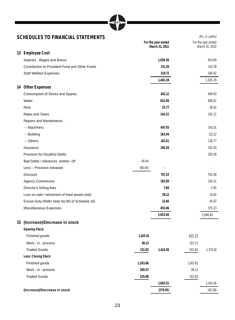### **SCHEDULES TO FINANCIAL STATEMENTS** (Rs. In Lakhs)

| SUMEDULES TO FINANCIAL STATEMENTS               |          |                                      |          | $(13.11)$ Lands                      |
|-------------------------------------------------|----------|--------------------------------------|----------|--------------------------------------|
|                                                 |          | For the year ended<br>March 31, 2011 |          | For the year ended<br>March 31, 2010 |
| 13 Employee Cost                                |          |                                      |          |                                      |
| Salaries, Wages and Bonus                       |          | 1,039.30                             |          | 954.69                               |
| Contribution to Provident Fund and Other Funds  |          | 131.26                               |          | 143.78                               |
| <b>Staff Welfare Expenses</b>                   |          | 310.72                               |          | 266.82                               |
|                                                 |          | 1,481.28                             |          | 1,365.29                             |
| 14 Other Expenses                               |          |                                      |          |                                      |
| Consumption of Stores and Spares                |          | 402.12                               |          | 489.93                               |
| Water                                           |          | 632.89                               |          | 696.01                               |
| Rent                                            |          | 25.77                                |          | 36.92                                |
| Rates and Taxes                                 |          | 144.22                               |          | 192.21                               |
| Repairs and Maintenance:                        |          |                                      |          |                                      |
| -- Machinery                                    |          | 647.93                               |          | 541.01                               |
| -- Building                                     |          | 163.94                               |          | 121.12                               |
| -- Others                                       |          | 161.61                               |          | 136.77                               |
| Insurance                                       |          | 190.26                               |          | 162.93                               |
| <b>Provision for Doubtful Debts</b>             |          |                                      |          | 182.06                               |
| Bad Debts / Advances written - off              | 40.44    |                                      |          |                                      |
| Less :- Provision released                      | (40.44)  | ٠                                    |          |                                      |
| <b>Discount</b>                                 |          | 767.33                               |          | 792.98                               |
| <b>Agency Commission</b>                        |          | 183.09                               |          | 156.21                               |
| Director's Sitting fees                         |          | 7.66                                 |          | 2.95                                 |
| Loss on sale / retirement of fixed assets (net) |          | 58.12                                |          | 14.82                                |
| Excise Duty (Refer Note No.B5 of Schedule 16)   |          | 13.66                                |          | 45.67                                |
| Miscellaneous Expenses                          |          | 455.06                               |          | 375.23                               |
|                                                 |          | 3,853.66                             |          | 3,946.82                             |
| 15 (Increase)/Decrease in stock                 |          |                                      |          |                                      |
| <b>Opening Stock</b>                            |          |                                      |          |                                      |
| Finished goods                                  | 1,165.61 |                                      | 915.15   |                                      |
| Work - in - process                             | 96.13    |                                      | 155.21   |                                      |
| <b>Traded Goods</b>                             | 152.82   | 1,414.56                             | 303.82   | 1,374.18                             |
| Less: Closing Stock                             |          |                                      |          |                                      |
| Finished goods                                  | 1,263.06 |                                      | 1,165.61 |                                      |
| Work - in - process                             | 200.57   |                                      | 96.13    |                                      |
| <b>Traded Goods</b>                             | 229.88   |                                      | 152.82   |                                      |
|                                                 |          | 1,693.51                             |          | 1,414.56                             |
| (Increase)/Decrease in stock                    |          | (278.95)                             |          | (40.38)                              |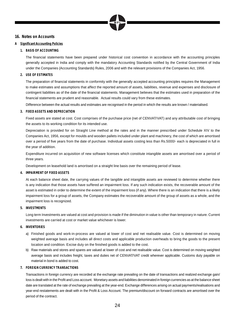

#### **16. Notes on Accounts**

#### **A Significant Accounting Policies**

#### **1. BASIS OF ACCOUNTING**

The financial statements have been prepared under historical cost convention in accordance with the accounting principles generally accepted in India and comply with the mandatory Accounting Standards notified by the Central Government of India under the Companies (Accounting Standards) Rules, 2006 and with the relevant provisions of the Companies Act, 1956.

#### **2. USE OF ESTIMATES**

The preparation of financial statements in conformity with the generally accepted accounting principles requires the Management to make estimates and assumptions that affect the reported amount of assets, liabilities, revenue and expenses and disclosure of contingent liabilities as of the date of the financial statements. Management believes that the estimates used in preparation of the financial statements are prudent and reasonable. Actual results could vary from these estimates.

Difference between the actual results and estimates are recognised in the period in which the results are known / materialised.

#### **3. FIXED ASSETS AND DEPRECIATION**

 Fixed assets are stated at cost. Cost comprises of the purchase price (net of CENVAT/VAT) and any attributable cost of bringing the assets to its working condition for its intended use.

 Depreciation is provided for on Straight Line method at the rates and in the manner prescribed under Schedule XIV to the Companies Act, 1956, except for moulds and wooden pallets included under plant and machinery, the cost of which are amortised over a period of five years from the date of purchase. Individual assets costing less than Rs.5000/- each is depreciated in full in the year of addition.

 Expenditure incurred on acquisition of new software licenses which constitute intangible assets are amortised over a period of three years.

Development on leasehold land is amortised on a straight line basis over the remaining period of lease.

#### **4. IMPAIRMENT OF FIXED ASSETS**

 At each balance sheet date, the carrying values of the tangible and intangible assets are reviewed to determine whether there is any indication that those assets have suffered an impairment loss. If any such indication exists, the recoverable amount of the asset is estimated in order to determine the extent of the impairment loss (if any). Where there is an indication that there is a likely impairment loss for a group of assets, the Company estimates the recoverable amount of the group of assets as a whole, and the impairment loss is recognized.

#### **5. INVESTMENTS**

 Long term Investments are valued at cost and provision is made if the diminution in value is other than temporary in nature. Current investments are carried at cost or market value whichever is lower.

#### **6. INVENTORIES**

- a) Finished goods and work-in-process are valued at lower of cost and net realisable value. Cost is determined on moving weighted average basis and includes all direct costs and applicable production overheads to bring the goods to the present location and condition. Excise duty on the finished goods is added to the cost.
- b) Raw materials and stores and spares are valued at lower of cost and net realisable value. Cost is determined on moving weighted average basis and includes freight, taxes and duties net of CENVAT/VAT credit wherever applicable. Customs duty payable on material in bond is added to cost.

#### **7. FOREIGN CURRENCY TRANSACTIONS**

 Transactions in foreign currency are recorded at the exchange rate prevailing on the date of transactions and realized exchange gain/ loss is dealt with in the Profit and Loss account. Monetary assets and liabilities denominated in foreign currencies as at the balance sheet date are translated at the rate of exchange prevailing at the year-end. Exchange differences arising on actual payments/realisations and year-end restatements are dealt with in the Profit & Loss Account. The premium/discount on forward contracts are amortised over the period of the contract.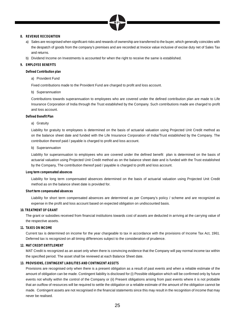

#### **8. REVENUE RECOGNITION**

- a) Sales are recognised when significant risks and rewards of ownership are transferred to the buyer, which generally coincides with the despatch of goods from the company's premises and are recorded at Invoice value inclusive of excise duty net of Sales Tax and returns.
- b) Dividend Income on Investments is accounted for when the right to receive the same is established.

#### **9. EMPLOYEE BENEFITS**

 **Defined Contribution plan** 

a) Provident Fund

Fixed contributions made to the Provident Fund are charged to profit and loss account.

b) Superannuation

Contributions towards superannuation to employees who are covered under the defined contribution plan are made to Life Insurance Corporation of India through the Trust established by the Company. Such contributions made are charged to profit and loss account.

#### **Defined Benefit Plan**

#### a) Gratuity

 Liability for gratuity to employees is determined on the basis of actuarial valuation using Projected Unit Credit method as on the balance sheet date and funded with the Life Insurance Corporation of India/Trust established by the Company. The contribution thereof paid / payable is charged to profit and loss account.

#### b) Superannuation

Liability for superannuation to employees who are covered under the defined benefit plan is determined on the basis of actuarial valuation using Projected Unit Credit method as on the balance sheet date and is funded with the Trust established by the Company, The contribution thereof paid / payable is charged to profit and loss account.

#### **Long term compensated absences**

 Liability for long term compensated absences determined on the basis of actuarial valuation using Projected Unit Credit method as on the balance sheet date is provided for.

#### **Short term compensated absences**

Liability for short term compensated absences are determined as per Company's policy / scheme and are recognized as expense in the profit and loss account based on expected obligation on undiscounted basis.

#### **10. TREATMENT OF GRANT**

The grant or subsidies received from financial institutions towards cost of assets are deducted in arriving at the carrying value of the respective assets.

#### **11. TAXES ON INCOME**

 Current tax is determined on income for the year chargeable to tax in accordance with the provisions of Income Tax Act, 1961. Deferred tax is recognized on all timing differences subject to the consideration of prudence.

#### **12. MAT CREDIT ENTITLEMENT**

 MAT Credit is recognized as an asset only when there is convincing evidence that the Company will pay normal income tax within the specified period. The asset shall be reviewed at each Balance Sheet date.

#### **13. PROVISIONS, CONTINGENT LIABILITIES AND CONTINGENT ASSETS**

 Provisions are recognised only when there is a present obligation as a result of past events and when a reliable estimate of the amount of obligation can be made. Contingent liability is disclosed for (i) Possible obligation which will be confirmed only by future events not wholly within the control of the Company or (ii) Present obligations arising from past events where it is not probable that an outflow of resources will be required to settle the obligation or a reliable estimate of the amount of the obligation cannot be made. Contingent assets are not recognised in the financial statements since this may result in the recognition of income that may never be realised.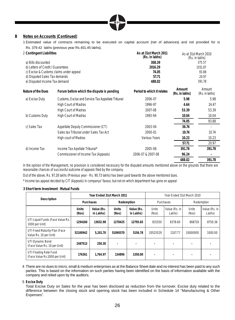

#### **B Notes on Accounts (Continued)**

1 Estimated value of contracts remaining to be executed on capital account (net of advances) and not provided for is Rs. 379.42 lakhs (previous year Rs.401.45 lakhs).

| 2 Contingent Liabilities          |                                                    | As at 31st March 2011<br>(Rs. in lakhs) |                          | As at 31st March 2010<br>(Rs. in lakhs) |
|-----------------------------------|----------------------------------------------------|-----------------------------------------|--------------------------|-----------------------------------------|
| a) Bills discounted               |                                                    | 308.39                                  |                          | 375.57                                  |
| b) Letters of Credit / Guarantees |                                                    | 2016.29                                 |                          | 1551.87                                 |
|                                   | c) Excise & Customs claims under appeal            | 74.05                                   |                          | 93.88                                   |
| d) Disputed Sales Tax demands     |                                                    | 57.71                                   |                          | 20.97                                   |
| e) Disputed Income Tax demand     |                                                    | 488.02                                  |                          | 391.78                                  |
| Nature of the Dues                | Forum before which the dispute is pending          | Period to which it relates              | Amount<br>(Rs. in lakhs) | Amount<br>(Rs. in lakhs)                |
| a) Excise Duty                    | Customs, Excise and Service Tax Appellate Tribunal | 2006-07                                 | 5.98                     | 5.98                                    |
|                                   | High Court of Madras                               | 1996-97                                 | 4.64                     | 24.47                                   |
|                                   | High Court of Madras                               | 2007-08                                 | 53.39                    | 53.39                                   |
| b) Customs Duty                   | High Court of Madras                               | 1993-94                                 | 10.04                    | 10.04                                   |
|                                   |                                                    |                                         | 74.05                    | 93.88                                   |
| c) Sales Tax                      | Appellate Deputy Commissioner (CT)                 | 2003-04                                 | 36.74                    |                                         |
|                                   | Sales tax Tribunal under Sales Tax Act             | 2000-01                                 | 10.74                    | 10.74                                   |
|                                   | High court of Madras                               | Various Years                           | 10.23                    | 10.23                                   |
|                                   |                                                    |                                         | 57.71                    | 20.97                                   |
| d) Income Tax                     | Income Tax Apellate Tribunal*                      | 2005-06                                 | 391.78                   | 391.78                                  |
|                                   | Commissioner of Income Tax (Appeals)               | 2006-07 & 2007-08                       | 96.24                    |                                         |
|                                   |                                                    |                                         | 488.02                   | 391.78                                  |

In the opinion of the Management, no provision is considered necessary for the disputed amounts mentioned above on the grounds that there are reasonable chances of successful outcome of appeals filed by the company.

Out of the above, Rs. 97.28 lakhs (Previous year - Rs. 90.73 lakhs) has been paid towards the above mentioned dues.

\* Income tax appeal decided by CIT (Appeals) in companys' favour, but not on which department has gone on appeal

**3 Short term Investment** -**Mutual Funds**

|                                                         |                       | Year Ended 31st March 2011 |                       |                         |                          | Year Ended 31st March 2010 |                |                         |
|---------------------------------------------------------|-----------------------|----------------------------|-----------------------|-------------------------|--------------------------|----------------------------|----------------|-------------------------|
| Description                                             |                       | Purchases                  |                       | Redemption              |                          | Purchases                  |                | Redemption              |
|                                                         | <b>Units</b><br>(Nos) | Value (Rs.<br>in Lakhs)    | <b>Units</b><br>(Nos) | Value (Rs.<br>in Lakhs) | <b>Units</b><br>(Nos)    | Value (Rs. in<br>Lakhs)    | Units<br>(Nos) | Value (Rs. in<br>Lakhs) |
| UTI Liquid Funds (Face Value Rs.<br>1000 per Unit)      | 1294160               | 13032.98                   | 1270425               | 12795.65                | 831550                   | 8378.60                    | 868719         | 8750.36                 |
| UTI Fixed Maturity Plan (Face<br>Value Rs. 10 per Unit) | 52100942              | 5.201.70                   | 51090370              | 5156.78                 | 20525529                 | 2107.77                    | 10000000       | 1000.00                 |
| UTI Dynamic Bond<br>(Face Value Rs. 10 per Unit)        | 2487513               | 250.30                     |                       | ٠                       |                          |                            |                |                         |
| UTI Floating Rate Fund<br>(Face Value Rs.1000 per Unit) | 176361                | 1.764.97                   | 134896                | 1350.00                 | $\overline{\phantom{a}}$ |                            |                |                         |

 4 There are no dues to micro, small & medium enterprises as at the Balance Sheet date and no interest has been paid to any such parties. This is based on the information on such parties having been identified on the basis of information available with the company and relied upon by the auditors.

5 **Excise Duty**

 Total Excise Duty on Sales for the year has been disclosed as reduction from the turnover. Excise duty related to the difference between the closing stock and opening stock has been included in Schedule 14 "Manufacturing & Other Expenses".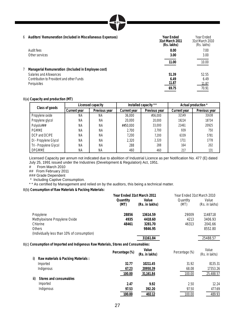| MР |  |
|----|--|
|----|--|

#### 6 **Auditors' Remuneration (included in Miscellaneous Expenses) Year Ended**

| 6 Auditors' Remuneration (included in Miscellaneous Expenses) | Year Ended<br>31st March 2011<br>(Rs. lakhs) | Year Ended<br>31st March 2010<br>(Rs. lakhs) |
|---------------------------------------------------------------|----------------------------------------------|----------------------------------------------|
| Audit fees                                                    | 8.00                                         | 7.00                                         |
| Other services                                                | 3.00                                         | 3.00                                         |
|                                                               | 11.00                                        | 10.00                                        |
| Managerial Remuneration : (Included in Employee cost)         |                                              |                                              |
| Salaries and Allowances                                       | 51.39                                        | 52.55                                        |
| Contribution to Provident and other Funds                     | 6.49                                         | 6.49                                         |
| Perquisites                                                   | 11.87                                        | 11.87                                        |
|                                                               | 69.75                                        | 70.91                                        |

#### 8(a) **Capacity and production (MT)**

| Class of goods         |              | Licensed capacity |                     | Installed capacity ** |              | Actual production * |
|------------------------|--------------|-------------------|---------------------|-----------------------|--------------|---------------------|
|                        | Current year | Previous year     | <b>Current year</b> | Previous year         | Current year | Previous year       |
| Propylene oxide        | <b>NA</b>    | ΝA                | 36,000              | #36,000               | 32149        | 31638               |
| Propylene glycol       | <b>NA</b>    | ΝA                | 20,000              | 20,000                | 19224        | 18734               |
| Polyols###             | <b>NA</b>    | ΝA                | ##50.000            | 33,000                | 21461        | 20925               |
| <b>PGMME</b>           | <b>NA</b>    | ΝA                | 2.700               | 2.700                 | 939          | 750                 |
| DCP and DCIPE          | ΝA           | ΝA                | 7.200               | 7.200                 | 6339         | 5781                |
| Di - Propylene Glycol  | <b>NA</b>    | ΝA                | 2.320               | 2.320                 | 1711         | 1778                |
| Tri - Propylene Glycol | <b>NA</b>    | ΝA                | 288                 | 288                   | 164          | 202                 |
| <b>DPGMME</b>          | NA           | ΝA                | 460                 | 460                   | 217          | 131                 |

Licensed Capacity per annum not indicated due to abolition of Industrial Licence as per Notification No. 477 (E) dated July 25, 1991 issued under the Industries (Development & Regulation) Act, 1951.

 $F$  From March 2010

## From February 2011

### Grade Dependent

\* Including Captive Consumption.

\* \* As certified by Management and relied on by the auditors, this being a technical matter.

8(b) **Consumption of Raw Materials & Packing Materials:**

|           |                                                                                    | Year Ended 31st March 2011 |                         | Year Ended 31st March 2010 |                         |
|-----------|------------------------------------------------------------------------------------|----------------------------|-------------------------|----------------------------|-------------------------|
|           |                                                                                    | Quantity<br>(MT)           | Value<br>(Rs. in lakhs) | Quantity<br>(MT)           | Value<br>(Rs. in lakhs) |
| Propylene |                                                                                    | 28856                      | 13614.59                | 29009                      | 11487.18                |
|           | Methyloxirane Propylene Oxide                                                      | 4935                       | 4418.60                 | 4213                       | 3406.93                 |
| Chlorine  |                                                                                    | 48461                      | 3281.70                 | 46313                      | 2041.66                 |
| Others    |                                                                                    |                            | 9846.95                 |                            | 8552.80                 |
|           | (Individually less than 10% of consumption)                                        |                            |                         |                            |                         |
|           |                                                                                    |                            | 31161.84                |                            | 25488.57                |
|           | 8(c) Consumption of Imported and Indigenous Raw Materials, Stores and Consumables: |                            |                         |                            |                         |
|           |                                                                                    | Percentage (%)             | Value<br>(Rs. in lakhs) | Percentage (%)             | Value<br>(Rs. in lakhs) |
| i)        | Raw materials & Packing Materials :                                                |                            |                         |                            |                         |
|           | Imported                                                                           | 32.77                      | 10211.45                | 31.92                      | 8135.31                 |
|           | Indigenous                                                                         | 67.23                      | 20950.39                | 68.08                      | 17353.26                |
|           |                                                                                    | 100.00                     | 31,161.84               | 100.00                     | 25,488.57               |
| ii)       | Stores and consumables                                                             |                            |                         |                            |                         |
|           | Imported                                                                           | 2.47                       | 9.92                    | 2.50                       | 12.24                   |

Indigenous **97.53 392.20** 97.50 477.69

**100.00 402.12** 100.00 489.93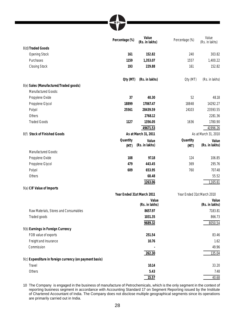|                                                                   | Percentage (%)             | Value<br>(Rs. in lakhs) | Percentage (%)             | Value<br>(Rs. in lakhs) |
|-------------------------------------------------------------------|----------------------------|-------------------------|----------------------------|-------------------------|
| 8(d) Traded Goods                                                 |                            |                         |                            |                         |
| <b>Opening Stock</b>                                              | 161                        | 152.82                  | 240                        | 303.82                  |
| Purchases                                                         | 1159                       | 1,353.07                | 1557                       | 1,400.22                |
| <b>Closing Stock</b>                                              | 193                        | 229.88                  | 161                        | 152.82                  |
|                                                                   | Qty (MT)                   | (Rs. in lakhs)          | Qty (MT)                   | (Rs. in lakhs)          |
| 8(e) Sales (Manufactured/Traded goods)                            |                            |                         |                            |                         |
| Manufactured Goods:                                               |                            |                         |                            |                         |
| Propylene Oxide                                                   | 37                         | 40.30                   | 52                         | 48.18                   |
| Propylene Glycol                                                  | 18899                      | 17067.47                | 18848                      | 14292.27                |
| Polyol                                                            | 25561                      | 28439.59                | 24103                      | 23593.55                |
| Others                                                            |                            | 2768.12                 |                            | 2281.36                 |
| <b>Traded Goods</b>                                               | 1127                       | 1356.05                 | 1636                       | 1780.90                 |
|                                                                   |                            | 49671.53                |                            | 41996.26                |
| 8(f) Stock of Finished Goods                                      |                            | As at March 31, 2011    |                            | As at March 31, 2010    |
|                                                                   | Quantity                   | Value                   | Quantity                   | Value                   |
|                                                                   | (MT)                       | (Rs. in lakhs)          | (MT)                       | (Rs. in lakhs)          |
| <b>Manufactured Goods:</b>                                        |                            |                         |                            |                         |
| Propylene Oxide                                                   | 108                        | 97.18                   | 124                        | 106.85                  |
| Propylene Glycol                                                  | 479                        | 443.45                  | 369                        | 295.76                  |
| Polyol                                                            | 609                        | 653.95                  | 760                        | 707.48                  |
| Others                                                            |                            | 68.48                   |                            | 55.52                   |
|                                                                   |                            | 1263.06                 |                            | 1,165.61                |
| 9(a) CIF Value of Imports                                         |                            |                         |                            |                         |
|                                                                   | Year Ended 31st March 2011 |                         | Year Ended 31st March 2010 |                         |
|                                                                   |                            | Value                   |                            | Value                   |
|                                                                   |                            | (Rs. in lakhs)          |                            | (Rs. in lakhs)          |
| Raw Materials, Stores and Consumables                             |                            | 8657.97                 |                            | 7183.81                 |
| Traded goods                                                      |                            | 1031.35                 |                            | 866.73                  |
|                                                                   |                            | 9689.32                 |                            | 8050.54                 |
| 9(b) Earnings in Foreign Currency                                 |                            |                         |                            |                         |
| FOB value of exports                                              |                            | 251.54                  |                            | 83.46                   |
| Freight and Insurance                                             |                            | 10.76                   |                            | 1.62                    |
| Commission                                                        |                            |                         |                            | 49.96                   |
|                                                                   |                            | 262.30                  |                            | 135.04                  |
| 9(c) Expenditure in foreign currency (on payment basis)<br>Travel |                            |                         |                            |                         |
|                                                                   |                            | 10.14                   |                            | 33.20                   |
| Others                                                            |                            | 5.43                    |                            | 7.48                    |
|                                                                   |                            | 15.57                   |                            | 40.68                   |

10 The Company is engaged in the business of manufacture of Petrochemicals, which is the only segment in the context of reporting business segment in accordance with Accounting Standard 17 on Segment Reporting issued by the Institute of Chartered Accountant of India. The Company does not disclose multiple geographical segments since its operations are primarily carried out in India.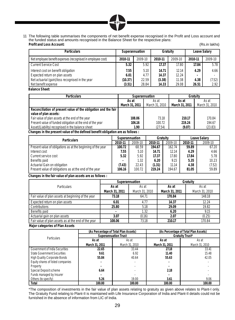

11 The following table summarises the components of net benefit expense recognised in the Profit and Loss account and the funded status and amounts recognised in the Balance Sheet for the respective plans: **Profit and Loss Account:** (Rs.in lakhs)

| <b>Particulars</b>                                          |         | Superannuation |         | Gratuity |         | Leave Salary |
|-------------------------------------------------------------|---------|----------------|---------|----------|---------|--------------|
| Net employee benefit expenses (recognised in employee cost) | 2010-11 | 2009-10        | 2010-11 | 2009-10  | 2010-11 | 2009-10      |
| <b>Current Service Cost</b>                                 | 5.32    | 5.92           | 17.37   | 17.80    | 17.84   | 5.78         |
| Interest cost on benefit obligation                         | 7.55    | 5.10           | 14.71   | 12.14    | 4.29    | 4.66         |
| Expected return on plan assets                              | 6.01    | 4.77           | 14.37   | 12.24    |         |              |
| Net actuarial (gain)/loss recognised in the year            | (10.37) | 22.59          | (3.38)  | 11.38    | 4.38    | (7.52)       |
| Net benefit expense                                         | (3.51)  | 28.84          | 14.33   | 29.08    | 26.51   | 2.92         |

 **Balance Sheet:**

| <b>Particulars</b>                                             | Superannuation |                | Gratuity       |                |
|----------------------------------------------------------------|----------------|----------------|----------------|----------------|
|                                                                | As at<br>As at |                | As at          | As at          |
|                                                                | March 31, 2011 | March 31, 2010 | March 31, 2011 | March 31, 2010 |
| Reconciliation of present value of the obligation and the fair |                |                |                |                |
| value of plan assets:                                          |                |                |                |                |
| Fair value of plan assets at the end of the year               | 108.06         | 73.18          | 210.17         | 170.84         |
| Present value of funded obligation at the end of the year      | 106.16         | 100.72         | 219.24         | 194.67         |
| Asset/(Liability) recognised in the balance sheet              | 1.90           | (27.54)        | (9.07)         | (23.83)        |

 **Changes in the present value of the defined benefit obligation are as follows :**

| <b>Particulars</b>                                           |         | Superannuation | Gratuity |         | Leave Salary |         |
|--------------------------------------------------------------|---------|----------------|----------|---------|--------------|---------|
|                                                              | 2010-11 | 2009-10        | 2010-11  | 2009-10 | 2010-11      | 2009-10 |
| Present value of obligations as at the beginning of the year | 100.72  | 68.59          | 194.67   | 162.74  | 59.89        | 67.20   |
| Interest cost                                                | 7.55    | 5.10           | 14.71    | 12.14   | 4.29         | 4.66    |
| Current service cost                                         | 5.32    | 5.92           | 17.37    | 17.80   | 17.84        | 5.78    |
| Benefits paid                                                |         | 1.32           | 6.20     | 9.15    | 5.35         | 10.23   |
| Actuarial Gain on obligation                                 | (7.43)  | 22.43          | (1.31)   | 11.14   | 4.38         | (7.52)  |
| Present value of obligations as at the end of the year       | 106.16  | 100.72         | 219.24   | 194.67  | 81.05        | 59.89   |

**Changes in the fair value of plan assets are as follows :**

|                                                     |                | Superannuation |                | Gratuity       |  |
|-----------------------------------------------------|----------------|----------------|----------------|----------------|--|
| <b>Particulars</b>                                  | As at          | As at          | As at          | As at          |  |
|                                                     | March 31, 2011 | March 31, 2010 | March 31, 2011 | March 31, 2010 |  |
| Fair value of plan assets at beginning of the year  | 73.18          | 64.71          | 170.84         | 148.18         |  |
| Expected return on plan assets                      | 6.01           | 4.77           | 14.37          | 12.24          |  |
| Contributions                                       | 25.80          | 5.18           | 29.09          | 19.82          |  |
| Benefits paid                                       |                | 1.32           | 6.20           | 9.15           |  |
| Actuarial gain on plan assets                       | 3.07           | (0.16)         | 2.07           | (0.25)         |  |
| Fair value of plan assets as at the end of the year | 108.06         | 73.18          | 210.17         | 170.84         |  |

**Major categories of Plan Assets**

|                                     | (As Percentage of Total Plan Assets) |                             |                 | (As Percentage of Total Plan Assets) |  |
|-------------------------------------|--------------------------------------|-----------------------------|-----------------|--------------------------------------|--|
|                                     |                                      | <b>Superannuation Trust</b> | Gratuity Trust* |                                      |  |
| <b>Particulars</b>                  | As at                                | As at                       | As at           | As at                                |  |
|                                     | March 31, 2011                       | March 31, 2010              | March 31, 2011  | March 31, 2010                       |  |
| Government of India Securities      | 22.65                                | 33.44                       | 27.18           | 33.41                                |  |
| <b>State Government Securities</b>  | 9.61                                 | 6.92                        | 11.40           | 15.48                                |  |
| <b>High Quality Corporate Bonds</b> | 55.84                                | 40.64                       | 55.63           | 42.05                                |  |
| Equity shares of listed companies   | ۰                                    |                             |                 |                                      |  |
| Property                            |                                      |                             |                 |                                      |  |
| Special Deposit scheme              | 6.64                                 |                             | 2.18            |                                      |  |
| Funds managed by Insurer            |                                      |                             |                 |                                      |  |
| Others (to specify)                 | 5.26                                 | 19.00                       | 3.61            | 9.06                                 |  |
| Total                               | 100.00                               | 100.00                      | 100.00          | 100.00                               |  |

 \*The composition of investments in the fair value of plan assets relating to gratuity as given above relates to Plant-I only. The Gratuity Fund relating to Plant-II is maintained with Life Insurance Corporation of India and Plant-II details could not be furnished in the absence of information from LIC of India.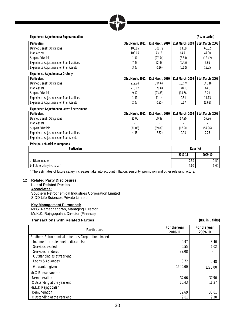| MР |
|----|
|    |

**Experience Adjustments: Superannuation (Rs. in Lakhs)**

| <b>Particulars</b>                              | 31st March, 2011 | 31st March, 2010 | 31st March, 2009 | 31st March, 2008 |  |  |
|-------------------------------------------------|------------------|------------------|------------------|------------------|--|--|
| Defined Benefit Obligations                     | 106.16           | 100.72           | 68.59            | 60.32            |  |  |
| Plan Assets                                     | 108.06           | 73.18            | 64.71            | 47.90            |  |  |
| Surplus / (Deficit)                             | 1.90             | (27.54)          | (3.88)           | (12.42)          |  |  |
| Experience Adjustments on Plan Liabilities      | (7.43)           | 22.43            | (0.45)           | 9.65             |  |  |
| Experience Adjustments on Plan Assets           | 3.07             | (0.16)           | (0.12)           | 13.25            |  |  |
| <b>Experience Adjustments: Gratuity</b>         |                  |                  |                  |                  |  |  |
| <b>Particulars</b>                              | 31st March, 2011 | 31st March, 2010 | 31st March, 2009 | 31st March, 2008 |  |  |
| Defined Benefit Obligations                     | 219.24           | 194.67           | 162.74           | 141.46           |  |  |
| Plan Assets                                     | 210.17           | 170.84           | 148.18           | 144.67           |  |  |
| Surplus / (Deficit)                             | (9.07)           | (23.83)          | (14.56)          | 3.21             |  |  |
| Experience Adjustments on Plan Liabilities      | (1.31)           | 11.14            | 9.54             | 11.13            |  |  |
| Experience Adjustments on Plan Assets           | 2.07             | (0.25)           | 0.17             | (1.63)           |  |  |
| <b>Experience Adjustments: Leave Encashment</b> |                  |                  |                  |                  |  |  |
| <b>Particulars</b>                              | 31st March, 2011 | 31st March, 2010 | 31st March, 2009 | 31st March, 2008 |  |  |
| Defined Benefit Obligations                     | 81.05            | 59.89            | 67.20            | 57.96            |  |  |

| Defined Benefit Obligations                | 81.05   | 59.89   | 67.20   | 57.96   |
|--------------------------------------------|---------|---------|---------|---------|
| Plan Assets                                |         |         |         |         |
| Surplus / (Deficit)                        | (81.05) | (59.89) | (67.20) | (57.96) |
| Experience Adjustments on Plan Liabilities | 4.38    | (7.52)  | 9.95    | 7.25    |
| Experience Adiustments on Plan Assets      |         |         |         |         |

#### **Principal actuarial assumptions**

| <b>Particulars</b>          | Rate (%) |         |
|-----------------------------|----------|---------|
|                             | 2010-11  | 2009-10 |
| a) Discount rate            | 7.50     | 7.50    |
| b) Future salary increase * | 5.00     | 5.00    |

\* The estimates of future salary increases take into account inflation, seniority, promotion and other relevant factors.

#### 12 **Related Party Disclosures: List of Related Parties Associates:**

Southern Petrochemical Industries Corporation Limited SIDD Life Sciences Private Limited

#### **Key Management Personnel:**

Mr.G. Ramachandran, Managing Director Mr.K.K. Rajagopalan, Director (Finance)

#### **Transactions with Related Parties** (Rs. in Lakhs)

| <b>Particulars</b>                                    | For the year<br>2010-11 | For the year<br>2009-10 |
|-------------------------------------------------------|-------------------------|-------------------------|
| Southern Petrochemical Industries Corporation Limited |                         |                         |
| Income from sales (net of discounts)                  | 0.97                    | 8.40                    |
| Services availed                                      | 0.55                    | 1.02                    |
| Services rendered                                     | 32.08                   |                         |
| Outstanding as at year end                            |                         |                         |
| Loans & Advances                                      | 0.72                    | 0.48                    |
| Guarantee given                                       | 1500.00                 | 1220.00                 |
| Mr.G.Ramachandran                                     |                         |                         |
| Remuneration                                          | 37.06                   | 37.90                   |
| Outstanding at the year end                           | 10.43                   | 11.27                   |
| Mr.K.K.Rajagopalan                                    |                         |                         |
| Remuneration                                          | 32.69                   | 33.01                   |
| Outstanding at the year end                           | 9.01                    | 9.30                    |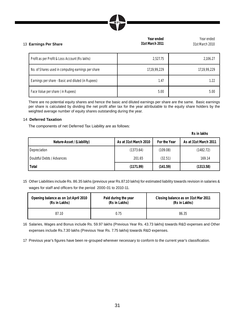| MPI |                |
|-----|----------------|
|     |                |
|     | Marcha and and |

| 13 Earnings Per Share |                                                    | real eilueu<br>31st March 2011 | real enueu<br>31st March 2010 |
|-----------------------|----------------------------------------------------|--------------------------------|-------------------------------|
|                       | Profit as per Profit & Loss Account (Rs lakhs)     | 2,527.75                       | 2,106.27                      |
|                       | No. of Shares used in computing earnings per share | 17,19,99,229                   | 17,19,99,229                  |
|                       | Earnings per share - Basic and diluted (in Rupees) | 1.47                           | 1.22                          |
|                       | Face Value per share (in Rupees)                   | 5.00                           | 5.00                          |

There are no potential equity shares and hence the basic and diluted earnings per share are the same. Basic earnings per share is calculated by dividing the net profit after tax for the year attributable to the equity share holders by the weighted average number of equity shares outstanding during the year.

#### 14 **Deferred Taxation**

The components of net Deferred Tax Liability are as follows:

**Rs in lakhs**

Year ended

| Nature-Asset / (Liability) | As at 31st March 2010 | For the Year | As at 31st March 2011 |
|----------------------------|-----------------------|--------------|-----------------------|
| Depreciation               | (1373.64)             | (109.08)     | (1482.72)             |
| Doubtful Debts / Advances  | 201.65                | (32.51)      | 169.14                |
| Total                      | (1171.99)             | (141.59)     | (1313.58)             |

15 Other Liabilities include Rs. 86.35 lakhs (previous year Rs.87.10 lakhs) for estimated liability towards revision in salaries & wages for staff and officers for the period 2000-01 to 2010-11.

| Opening balance as on 1st April 2010 | Paid during the year | Closing balance as on 31st Mar 2011 |
|--------------------------------------|----------------------|-------------------------------------|
| (Rs in Lakhs)                        | (Rs in Lakhs)        | (Rs in Lakhs)                       |
| 87.10                                | 0.75                 | 86.35                               |

- 16 Salaries, Wages and Bonus include Rs. 59.97 lakhs (Previous Year Rs. 43.73 lakhs) towards R&D expenses and Other expenses include Rs.7.30 lakhs (Previous Year Rs. 7.75 lakhs) towards R&D expenses.
- 17 Previous year's figures have been re-grouped wherever necessary to conform to the current year's classification.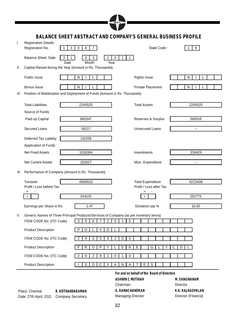|                                                                      |                                                                                          |                                        | MPL                                                |                                                     |        |                                        |  |
|----------------------------------------------------------------------|------------------------------------------------------------------------------------------|----------------------------------------|----------------------------------------------------|-----------------------------------------------------|--------|----------------------------------------|--|
| <b>BALANCE SHEET ABSTRACT AND COMPANY'S GENERAL BUSINESS PROFILE</b> |                                                                                          |                                        |                                                    |                                                     |        |                                        |  |
| $\mathbf{I}$                                                         | <b>Registration Details</b><br>$\mathbf{1}$<br>Registration No.                          | $\pmb{0}$<br>8<br>3<br>7 <sup>7</sup>  |                                                    | State Code:                                         |        | 8<br>1                                 |  |
|                                                                      | <b>Balance Sheet Date</b><br>3                                                           | $\overline{2}$<br>0<br>3<br>1          | 0<br>$\mathbf{1}$<br>1                             |                                                     |        |                                        |  |
| Ш.                                                                   | Date<br>Capital Raised during the Year (Amount in Rs. Thousands)                         | Month                                  | Year                                               |                                                     |        |                                        |  |
|                                                                      | Public Issue                                                                             | N                                      |                                                    | <b>Rights Issue</b>                                 |        | N                                      |  |
|                                                                      | Bonus Issue                                                                              | N                                      |                                                    | <b>Private Placement</b>                            |        | N                                      |  |
| III.                                                                 | Position of Mobilisation and Deployment of Funds (Amount in Rs. Thousands)               |                                        |                                                    |                                                     |        |                                        |  |
|                                                                      | <b>Total Liabilities</b>                                                                 | 2245525                                |                                                    | <b>Total Assets</b>                                 |        | 2245525                                |  |
|                                                                      | Source of Funds                                                                          |                                        |                                                    |                                                     |        |                                        |  |
|                                                                      | Paid-up Capital                                                                          | 860347                                 |                                                    | Reserves & Surplus                                  |        | 566518                                 |  |
|                                                                      | Secured Loans                                                                            | 59217                                  |                                                    | <b>Unsecured Loans</b>                              |        | $\overline{\phantom{a}}$ .             |  |
|                                                                      | Deferred Tax Liability                                                                   | 131358                                 |                                                    |                                                     |        |                                        |  |
|                                                                      | Application of Funds                                                                     |                                        |                                                    |                                                     |        |                                        |  |
|                                                                      | <b>Net Fixed Assets</b>                                                                  | 1016384                                |                                                    | Investments                                         |        | 339429                                 |  |
|                                                                      | <b>Net Current Assets</b>                                                                | 261627                                 |                                                    | Misc. Expenditure                                   |        | $\overline{\phantom{a}}$ .             |  |
|                                                                      | IV. Performance of Company (Amount in Rs. Thousands)                                     |                                        |                                                    |                                                     |        |                                        |  |
|                                                                      | Turnover<br>Profit / Loss before Tax                                                     | 4566533                                |                                                    | <b>Total Expenditure</b><br>Profit / Loss after Tax |        | 4223408                                |  |
|                                                                      | +                                                                                        |                                        |                                                    | +                                                   |        |                                        |  |
|                                                                      | $\ddot{}$                                                                                | 343125                                 |                                                    |                                                     |        | 252775                                 |  |
|                                                                      | Earnings per Share in Rs.                                                                | 1.47                                   |                                                    | Dividend rate %                                     |        | 10.00                                  |  |
| V.                                                                   | Generic Names of Three Principal Products/Services of Company (as per monetary terms)    |                                        |                                                    |                                                     |        |                                        |  |
|                                                                      | ITEM CODE No. (ITC Code)                                                                 | 9<br>$\overline{2}$<br>3<br>0<br>7     | 0<br>$\mathbf{1}$<br>0                             |                                                     |        |                                        |  |
|                                                                      | <b>Product Description</b>                                                               | P<br>O<br>Y<br>$\circ$<br>L            |                                                    |                                                     |        |                                        |  |
|                                                                      | ITEM CODE No. (ITC Code)                                                                 | $\overline{2}$<br>9<br>0<br>5<br>3     | $\overline{2}$<br>0<br>0                           |                                                     |        |                                        |  |
|                                                                      | <b>Product Description</b>                                                               | R<br>O<br>P<br>Υ<br>P                  | E<br>N                                             | Е<br>G                                              | С<br>Υ | O                                      |  |
|                                                                      | ITEM CODE No. (ITC Code)                                                                 | 9<br>$\overline{2}$<br>9<br>2<br>1     | 0<br>0<br>1                                        |                                                     |        |                                        |  |
|                                                                      | <b>Product Description</b>                                                               | $\overline{\mathsf{c}}$<br>S<br>O<br>Υ | Α<br>N<br>Α                                        | Ε<br>S                                              |        |                                        |  |
|                                                                      |                                                                                          |                                        |                                                    | For and on behalf of the Board of Directors         |        |                                        |  |
|                                                                      |                                                                                          |                                        | <b>ASHWIN C MUTHIAH</b>                            |                                                     |        | M. SIVAGNANAM                          |  |
|                                                                      |                                                                                          |                                        | Chairman                                           |                                                     |        | <b>Director</b>                        |  |
|                                                                      | Place: Chennai<br>R. KOTHANDARAMAN<br>Date: 27th April, 2011<br><b>Company Secretary</b> |                                        | <b>G. RAMACHANDRAN</b><br><b>Managing Director</b> |                                                     |        | K.K. RAJAGOPALAN<br>Director (Finance) |  |

78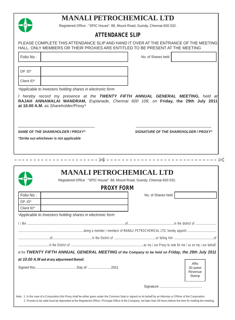## **MANALI PETROCHEMICAL LTD**



Registered Office : "SPIC House". 88, Mount Road, Guindy, Chennai 600 032.

## **ATTENDANCE SLIP**

|                                              |                                                            | PLEASE COMPLETE THIS ATTENDANCE SLIP AND HAND IT OVER AT THE ENTRANCE OF THE MEETING                                                                                  |
|----------------------------------------------|------------------------------------------------------------|-----------------------------------------------------------------------------------------------------------------------------------------------------------------------|
|                                              |                                                            | HALL, ONLY MEMBERS OR THEIR PROXIES ARE ENTITLED TO BE PRESENT AT THE MEETING                                                                                         |
| Folio No:                                    |                                                            | No. of Shares held                                                                                                                                                    |
|                                              |                                                            |                                                                                                                                                                       |
| DP. ID*                                      |                                                            |                                                                                                                                                                       |
| Client ID*                                   |                                                            |                                                                                                                                                                       |
|                                              |                                                            |                                                                                                                                                                       |
|                                              | *Applicable to Investors holding shares in electronic form |                                                                                                                                                                       |
| at 10.00 A.M. as Shareholder/Proxy*          |                                                            | I hereby record my presence at the TWENTY FIFTH ANNUAL GENERAL MEETING, held at<br>RAJAH ANNAMALAI MANDRAM, Esplanade, Chennai 600 108, on Friday, the 29th July 2011 |
| <b>NAME OF THE SHAREHOLDER / PROXY*</b>      |                                                            | <b>SIGNATURE OF THE SHAREHOLDER / PROXY*</b>                                                                                                                          |
| *Strike out whichever is not applicable      |                                                            |                                                                                                                                                                       |
|                                              |                                                            |                                                                                                                                                                       |
|                                              |                                                            | ---------------------------------                                                                                                                                     |
|                                              |                                                            |                                                                                                                                                                       |
|                                              |                                                            | <b>MANALI PETROCHEMICAL LTD</b><br>Registered Office : "SPIC House". 88, Mount Road, Guindy, Chennai 600 032.<br><b>PROXY FORM</b>                                    |
|                                              |                                                            |                                                                                                                                                                       |
|                                              |                                                            | No. of Shares held                                                                                                                                                    |
|                                              |                                                            |                                                                                                                                                                       |
|                                              | *Applicable to Investors holding shares in electronic form |                                                                                                                                                                       |
|                                              |                                                            |                                                                                                                                                                       |
|                                              |                                                            |                                                                                                                                                                       |
|                                              |                                                            |                                                                                                                                                                       |
|                                              |                                                            |                                                                                                                                                                       |
|                                              |                                                            |                                                                                                                                                                       |
| Folio No:<br>DP. ID*<br>Client ID*           |                                                            | at the TWENTY FIFTH ANNUAL GENERAL MEETING of the Company to be held on Friday, the 29th July 2011                                                                    |
|                                              |                                                            | Affix                                                                                                                                                                 |
|                                              |                                                            | 30 paise<br>Revenue<br>Stamp                                                                                                                                          |
| at 10.00 A.M and at any adjournment thereof. |                                                            |                                                                                                                                                                       |